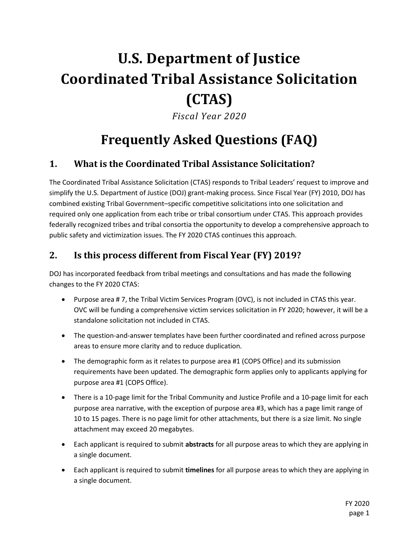# **U.S. Department of Justice Coordinated Tribal Assistance Solicitation (CTAS)**

*Fiscal Year 2020*

# **Frequently Asked Questions (FAQ)**

### **1. What is the Coordinated Tribal Assistance Solicitation?**

The Coordinated Tribal Assistance Solicitation (CTAS) responds to Tribal Leaders' request to improve and simplify the U.S. Department of Justice (DOJ) grant-making process. Since Fiscal Year (FY) 2010, DOJ has combined existing Tribal Government–specific competitive solicitations into one solicitation and required only one application from each tribe or tribal consortium under CTAS. This approach provides federally recognized tribes and tribal consortia the opportunity to develop a comprehensive approach to public safety and victimization issues. The FY 2020 CTAS continues this approach.

### **2. Is this process different from Fiscal Year (FY) 2019?**

DOJ has incorporated feedback from tribal meetings and consultations and has made the following changes to the FY 2020 CTAS:

- Purpose area # 7, the Tribal Victim Services Program (OVC), is not included in CTAS this year. OVC will be funding a comprehensive victim services solicitation in FY 2020; however, it will be a standalone solicitation not included in CTAS.
- The question-and-answer templates have been further coordinated and refined across purpose areas to ensure more clarity and to reduce duplication.
- The demographic form as it relates to purpose area #1 (COPS Office) and its submission requirements have been updated. The demographic form applies only to applicants applying for purpose area #1 (COPS Office).
- There is a 10-page limit for the Tribal Community and Justice Profile and a 10-page limit for each purpose area narrative, with the exception of purpose area #3, which has a page limit range of 10 to 15 pages. There is no page limit for other attachments, but there is a size limit. No single attachment may exceed 20 megabytes.
- Each applicant is required to submit **abstracts** for all purpose areas to which they are applying in a single document.
- Each applicant is required to submit **timelines** for all purpose areas to which they are applying in a single document.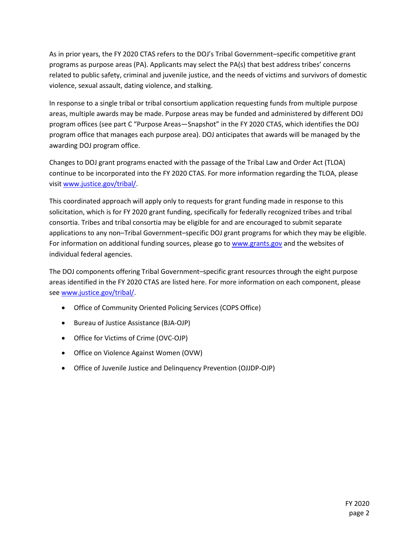As in prior years, the FY 2020 CTAS refers to the DOJ's Tribal Government–specific competitive grant programs as purpose areas (PA). Applicants may select the PA(s) that best address tribes' concerns related to public safety, criminal and juvenile justice, and the needs of victims and survivors of domestic violence, sexual assault, dating violence, and stalking.

In response to a single tribal or tribal consortium application requesting funds from multiple purpose areas, multiple awards may be made. Purpose areas may be funded and administered by different DOJ program offices (see part C "Purpose Areas—Snapshot" in the FY 2020 CTAS, which identifies the DOJ program office that manages each purpose area). DOJ anticipates that awards will be managed by the awarding DOJ program office.

Changes to DOJ grant programs enacted with the passage of the Tribal Law and Order Act (TLOA) continue to be incorporated into the FY 2020 CTAS. For more information regarding the TLOA, please visi[t www.justice.gov/tribal/.](http://www.justice.gov/tribal/)

This coordinated approach will apply only to requests for grant funding made in response to this solicitation, which is for FY 2020 grant funding, specifically for federally recognized tribes and tribal consortia. Tribes and tribal consortia may be eligible for and are encouraged to submit separate applications to any non–Tribal Government–specific DOJ grant programs for which they may be eligible. For information on additional funding sources, please go to [www.grants.gov](http://www.grants.gov/) and the websites of individual federal agencies.

The DOJ components offering Tribal Government–specific grant resources through the eight purpose areas identified in the FY 2020 CTAS are listed here. For more information on each component, please se[e www.justice.gov/tribal/.](http://www.justice.gov/tribal/)

- Office of Community Oriented Policing Services (COPS Office)
- Bureau of Justice Assistance (BJA-OJP)
- Office for Victims of Crime (OVC-OJP)
- Office on Violence Against Women (OVW)
- Office of Juvenile Justice and Delinquency Prevention (OJJDP-OJP)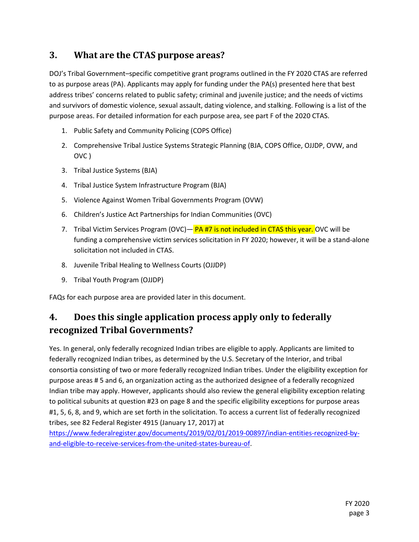### **3. What are the CTAS purpose areas?**

DOJ's Tribal Government–specific competitive grant programs outlined in the FY 2020 CTAS are referred to as purpose areas (PA). Applicants may apply for funding under the PA(s) presented here that best address tribes' concerns related to public safety; criminal and juvenile justice; and the needs of victims and survivors of domestic violence, sexual assault, dating violence, and stalking. Following is a list of the purpose areas. For detailed information for each purpose area, see part F of the 2020 CTAS.

- 1. Public Safety and Community Policing (COPS Office)
- 2. Comprehensive Tribal Justice Systems Strategic Planning (BJA, COPS Office, OJJDP, OVW, and OVC )
- 3. Tribal Justice Systems (BJA)
- 4. Tribal Justice System Infrastructure Program (BJA)
- 5. Violence Against Women Tribal Governments Program (OVW)
- 6. Children's Justice Act Partnerships for Indian Communities (OVC)
- 7. Tribal Victim Services Program (OVC)— PA #7 is not included in CTAS this year. OVC will be funding a comprehensive victim services solicitation in FY 2020; however, it will be a stand-alone solicitation not included in CTAS.
- 8. Juvenile Tribal Healing to Wellness Courts (OJJDP)
- 9. Tribal Youth Program (OJJDP)

FAQs for each purpose area are provided later in this document.

### **4. Does this single application process apply only to federally recognized Tribal Governments?**

Yes. In general, only federally recognized Indian tribes are eligible to apply. Applicants are limited to federally recognized Indian tribes, as determined by the U.S. Secretary of the Interior, and tribal consortia consisting of two or more federally recognized Indian tribes. Under the eligibility exception for purpose areas # 5 and 6, an organization acting as the authorized designee of a federally recognized Indian tribe may apply. However, applicants should also review the general eligibility exception relating to political subunits at question #23 on pag[e 8](#page-7-0) and the specific eligibility exceptions for purpose areas #1, 5, 6, 8, and 9, which are set forth in the solicitation. To access a current list of federally recognized tribes, see 82 Federal Register 4915 (January 17, 2017) at

[https://www.federalregister.gov/documents/2019/02/01/2019-00897/indian-entities-recognized-by](https://www.federalregister.gov/documents/2019/02/01/2019-00897/indian-entities-recognized-by-and-eligible-to-receive-services-from-the-united-states-bureau-of)[and-eligible-to-receive-services-from-the-united-states-bureau-of.](https://www.federalregister.gov/documents/2019/02/01/2019-00897/indian-entities-recognized-by-and-eligible-to-receive-services-from-the-united-states-bureau-of)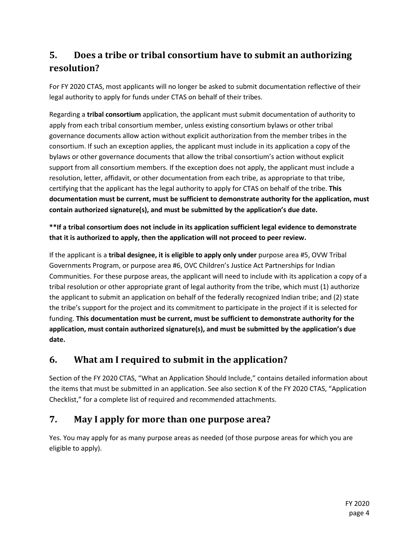### **5. Does a tribe or tribal consortium have to submit an authorizing resolution?**

For FY 2020 CTAS, most applicants will no longer be asked to submit documentation reflective of their legal authority to apply for funds under CTAS on behalf of their tribes.

Regarding a **tribal consortium** application, the applicant must submit documentation of authority to apply from each tribal consortium member, unless existing consortium bylaws or other tribal governance documents allow action without explicit authorization from the member tribes in the consortium. If such an exception applies, the applicant must include in its application a copy of the bylaws or other governance documents that allow the tribal consortium's action without explicit support from all consortium members. If the exception does not apply, the applicant must include a resolution, letter, affidavit, or other documentation from each tribe, as appropriate to that tribe, certifying that the applicant has the legal authority to apply for CTAS on behalf of the tribe. **This documentation must be current, must be sufficient to demonstrate authority for the application, must contain authorized signature(s), and must be submitted by the application's due date.**

**\*\*If a tribal consortium does not include in its application sufficient legal evidence to demonstrate that it is authorized to apply, then the application will not proceed to peer review.**

If the applicant is a **tribal designee, it is eligible to apply only under** purpose area #5, OVW Tribal Governments Program, or purpose area #6, OVC Children's Justice Act Partnerships for Indian Communities. For these purpose areas, the applicant will need to include with its application a copy of a tribal resolution or other appropriate grant of legal authority from the tribe, which must (1) authorize the applicant to submit an application on behalf of the federally recognized Indian tribe; and (2) state the tribe's support for the project and its commitment to participate in the project if it is selected for funding. **This documentation must be current, must be sufficient to demonstrate authority for the application, must contain authorized signature(s), and must be submitted by the application's due date.**

### **6. What am I required to submit in the application?**

Section of the FY 2020 CTAS, "What an Application Should Include," contains detailed information about the items that must be submitted in an application. See also section K of the FY 2020 CTAS, "Application Checklist," for a complete list of required and recommended attachments.

### **7. May I apply for more than one purpose area?**

Yes. You may apply for as many purpose areas as needed (of those purpose areas for which you are eligible to apply).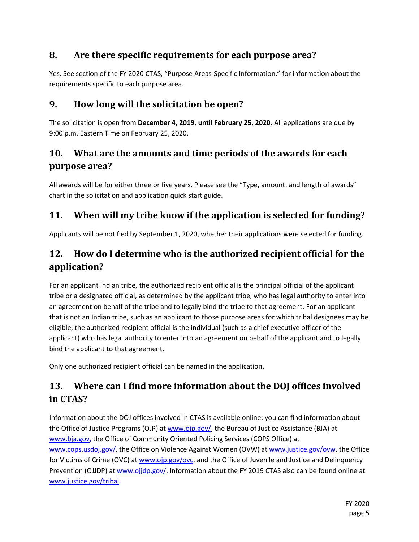### **8. Are there specific requirements for each purpose area?**

Yes. See section of the FY 2020 CTAS, "Purpose Areas-Specific Information," for information about the requirements specific to each purpose area.

### **9. How long will the solicitation be open?**

The solicitation is open from **December 4, 2019, until February 25, 2020.** All applications are due by 9:00 p.m. Eastern Time on February 25, 2020.

### **10. What are the amounts and time periods of the awards for each purpose area?**

All awards will be for either three or five years. Please see the "Type, amount, and length of awards" chart in the solicitation and application quick start guide.

### **11. When will my tribe know if the application is selected for funding?**

Applicants will be notified by September 1, 2020, whether their applications were selected for funding.

### **12. How do I determine who is the authorized recipient official for the application?**

For an applicant Indian tribe, the authorized recipient official is the principal official of the applicant tribe or a designated official, as determined by the applicant tribe, who has legal authority to enter into an agreement on behalf of the tribe and to legally bind the tribe to that agreement. For an applicant that is not an Indian tribe, such as an applicant to those purpose areas for which tribal designees may be eligible, the authorized recipient official is the individual (such as a chief executive officer of the applicant) who has legal authority to enter into an agreement on behalf of the applicant and to legally bind the applicant to that agreement.

Only one authorized recipient official can be named in the application.

# **13. Where can I find more information about the DOJ offices involved in CTAS?**

Information about the DOJ offices involved in CTAS is available online; you can find information about the Office of Justice Programs (OJP) at [www.ojp.gov/,](http://www.ojp.gov/) the Bureau of Justice Assistance (BJA) at [www.bja.gov,](http://www.bja.gov/) the Office of Community Oriented Policing Services (COPS Office) at [www.cops.usdoj.gov/,](http://www.cops.usdoj.gov/) the Office on Violence Against Women (OVW) a[t www.justice.gov/ovw,](http://www.justice.gov/ovw) the Office for Victims of Crime (OVC) at [www.ojp.gov/ovc,](http://www.ojp.gov/ovc) and the Office of Juvenile and Justice and Delinquency Prevention (OJJDP) at [www.ojjdp.gov/.](http://www.ojjdp.gov/) Information about the FY 2019 CTAS also can be found online at [www.justice.gov/tribal.](http://www.justice.gov/tribal)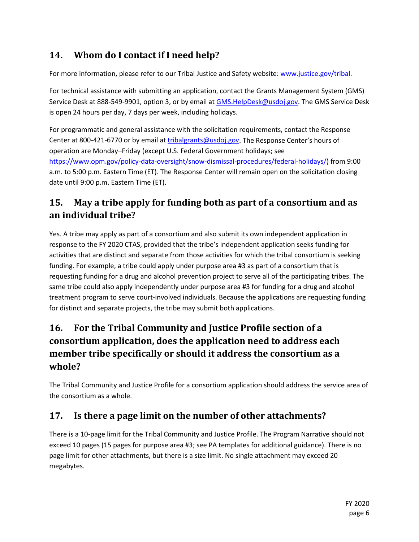# **14. Whom do I contact if I need help?**

For more information, please refer to our Tribal Justice and Safety website: [www.justice.gov/tribal.](http://www.justice.gov/tribal)

For technical assistance with submitting an application, contact the Grants Management System (GMS) Service Desk at 888-549-9901, option 3, or by email at [GMS.HelpDesk@usdoj.gov.](mailto:GMS.HelpDesk@usdoj.gov) The GMS Service Desk is open 24 hours per day, 7 days per week, including holidays.

For programmatic and general assistance with the solicitation requirements, contact the Response Center at 800-421-6770 or by email at [tribalgrants@usdoj.gov.](mailto:tribalgrants@usdoj.gov) The Response Center's hours of operation are Monday–Friday (except U.S. Federal Government holidays; see [https://www.opm.gov/policy-data-oversight/snow-dismissal-procedures/federal-holidays/\)](https://www.opm.gov/policy-data-oversight/snow-dismissal-procedures/federal-holidays/) from 9:00 a.m. to 5:00 p.m. Eastern Time (ET). The Response Center will remain open on the solicitation closing date until 9:00 p.m. Eastern Time (ET).

### **15. May a tribe apply for funding both as part of a consortium and as an individual tribe?**

Yes. A tribe may apply as part of a consortium and also submit its own independent application in response to the FY 2020 CTAS, provided that the tribe's independent application seeks funding for activities that are distinct and separate from those activities for which the tribal consortium is seeking funding. For example, a tribe could apply under purpose area #3 as part of a consortium that is requesting funding for a drug and alcohol prevention project to serve all of the participating tribes. The same tribe could also apply independently under purpose area #3 for funding for a drug and alcohol treatment program to serve court-involved individuals. Because the applications are requesting funding for distinct and separate projects, the tribe may submit both applications.

# **16. For the Tribal Community and Justice Profile section of a consortium application, does the application need to address each member tribe specifically or should it address the consortium as a whole?**

The Tribal Community and Justice Profile for a consortium application should address the service area of the consortium as a whole.

### **17. Is there a page limit on the number of other attachments?**

There is a 10-page limit for the Tribal Community and Justice Profile. The Program Narrative should not exceed 10 pages (15 pages for purpose area #3; see PA templates for additional guidance). There is no page limit for other attachments, but there is a size limit. No single attachment may exceed 20 megabytes.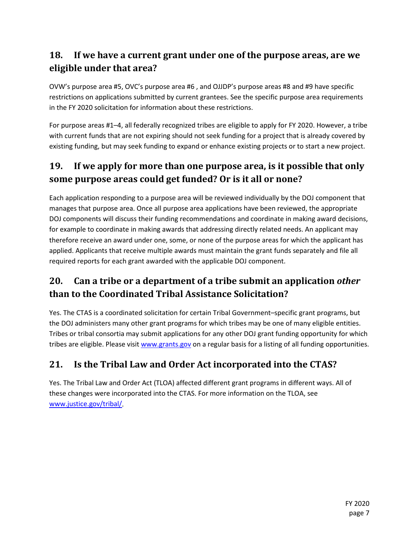### **18. If we have a current grant under one of the purpose areas, are we eligible under that area?**

OVW's purpose area #5, OVC's purpose area #6 , and OJJDP's purpose areas #8 and #9 have specific restrictions on applications submitted by current grantees. See the specific purpose area requirements in the FY 2020 solicitation for information about these restrictions.

For purpose areas #1–4, all federally recognized tribes are eligible to apply for FY 2020. However, a tribe with current funds that are not expiring should not seek funding for a project that is already covered by existing funding, but may seek funding to expand or enhance existing projects or to start a new project.

### **19. If we apply for more than one purpose area, is it possible that only some purpose areas could get funded? Or is it all or none?**

Each application responding to a purpose area will be reviewed individually by the DOJ component that manages that purpose area. Once all purpose area applications have been reviewed, the appropriate DOJ components will discuss their funding recommendations and coordinate in making award decisions, for example to coordinate in making awards that addressing directly related needs. An applicant may therefore receive an award under one, some, or none of the purpose areas for which the applicant has applied. Applicants that receive multiple awards must maintain the grant funds separately and file all required reports for each grant awarded with the applicable DOJ component.

### **20. Can a tribe or a department of a tribe submit an application** *other* **than to the Coordinated Tribal Assistance Solicitation?**

Yes. The CTAS is a coordinated solicitation for certain Tribal Government–specific grant programs, but the DOJ administers many other grant programs for which tribes may be one of many eligible entities. Tribes or tribal consortia may submit applications for any other DOJ grant funding opportunity for which tribes are eligible. Please visit [www.grants.gov](http://www.grants.gov/) on a regular basis for a listing of all funding opportunities.

# **21. Is the Tribal Law and Order Act incorporated into the CTAS?**

Yes. The Tribal Law and Order Act (TLOA) affected different grant programs in different ways. All of these changes were incorporated into the CTAS. For more information on the TLOA, see [www.justice.gov/tribal/.](http://www.justice.gov/tribal/)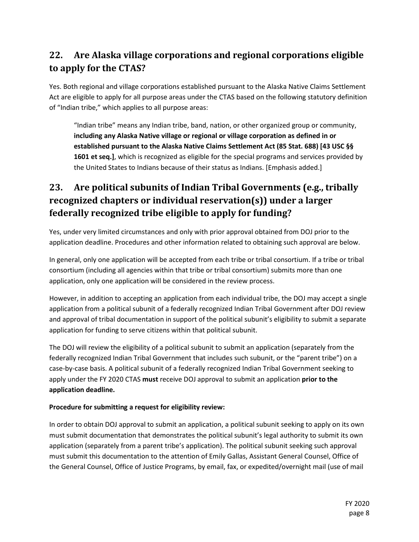### **22. Are Alaska village corporations and regional corporations eligible to apply for the CTAS?**

Yes. Both regional and village corporations established pursuant to the Alaska Native Claims Settlement Act are eligible to apply for all purpose areas under the CTAS based on the following statutory definition of "Indian tribe," which applies to all purpose areas:

"Indian tribe" means any Indian tribe, band, nation, or other organized group or community, **including any Alaska Native village or regional or village corporation as defined in or established pursuant to the Alaska Native Claims Settlement Act (85 Stat. 688) [43 USC §§ 1601 et seq.]**, which is recognized as eligible for the special programs and services provided by the United States to Indians because of their status as Indians. [Emphasis added.]

# <span id="page-7-0"></span>**23. Are political subunits of Indian Tribal Governments (e.g., tribally recognized chapters or individual reservation(s)) under a larger federally recognized tribe eligible to apply for funding?**

Yes, under very limited circumstances and only with prior approval obtained from DOJ prior to the application deadline. Procedures and other information related to obtaining such approval are below.

In general, only one application will be accepted from each tribe or tribal consortium. If a tribe or tribal consortium (including all agencies within that tribe or tribal consortium) submits more than one application, only one application will be considered in the review process.

However, in addition to accepting an application from each individual tribe, the DOJ may accept a single application from a political subunit of a federally recognized Indian Tribal Government after DOJ review and approval of tribal documentation in support of the political subunit's eligibility to submit a separate application for funding to serve citizens within that political subunit.

The DOJ will review the eligibility of a political subunit to submit an application (separately from the federally recognized Indian Tribal Government that includes such subunit, or the "parent tribe") on a case-by-case basis. A political subunit of a federally recognized Indian Tribal Government seeking to apply under the FY 2020 CTAS **must** receive DOJ approval to submit an application **prior to the application deadline.**

#### **Procedure for submitting a request for eligibility review:**

In order to obtain DOJ approval to submit an application, a political subunit seeking to apply on its own must submit documentation that demonstrates the political subunit's legal authority to submit its own application (separately from a parent tribe's application). The political subunit seeking such approval must submit this documentation to the attention of Emily Gallas, Assistant General Counsel, Office of the General Counsel, Office of Justice Programs, by email, fax, or expedited/overnight mail (use of mail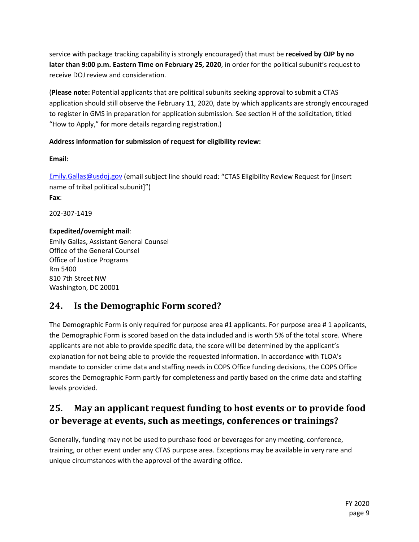service with package tracking capability is strongly encouraged) that must be **received by OJP by no later than 9:00 p.m. Eastern Time on February 25, 2020**, in order for the political subunit's request to receive DOJ review and consideration.

(**Please note:** Potential applicants that are political subunits seeking approval to submit a CTAS application should still observe the February 11, 2020, date by which applicants are strongly encouraged to register in GMS in preparation for application submission. See section H of the solicitation, titled "How to Apply," for more details regarding registration.)

#### **Address information for submission of request for eligibility review:**

**Email**:

[Emily.Gallas@usdoj.gov](mailto:Emily.Gallas@usdoj.gov) (email subject line should read: "CTAS Eligibility Review Request for [insert name of tribal political subunit]") **Fax**:

202-307-1419

#### **Expedited/overnight mail**:

Emily Gallas, Assistant General Counsel Office of the General Counsel Office of Justice Programs Rm 5400 810 7th Street NW Washington, DC 20001

### **24. Is the Demographic Form scored?**

The Demographic Form is only required for purpose area #1 applicants. For purpose area # 1 applicants, the Demographic Form is scored based on the data included and is worth 5% of the total score. Where applicants are not able to provide specific data, the score will be determined by the applicant's explanation for not being able to provide the requested information. In accordance with TLOA's mandate to consider crime data and staffing needs in COPS Office funding decisions, the COPS Office scores the Demographic Form partly for completeness and partly based on the crime data and staffing levels provided.

### **25. May an applicant request funding to host events or to provide food or beverage at events, such as meetings, conferences or trainings?**

Generally, funding may not be used to purchase food or beverages for any meeting, conference, training, or other event under any CTAS purpose area. Exceptions may be available in very rare and unique circumstances with the approval of the awarding office.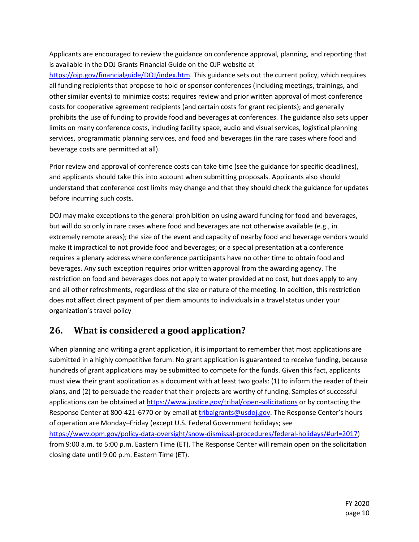Applicants are encouraged to review the guidance on conference approval, planning, and reporting that is available in the DOJ Grants Financial Guide on the OJP website at

[https://ojp.gov/financialguide/DOJ/index.htm.](https://ojp.gov/financialguide/DOJ/index.htm) This guidance sets out the current policy, which requires all funding recipients that propose to hold or sponsor conferences (including meetings, trainings, and other similar events) to minimize costs; requires review and prior written approval of most conference costs for cooperative agreement recipients (and certain costs for grant recipients); and generally prohibits the use of funding to provide food and beverages at conferences. The guidance also sets upper limits on many conference costs, including facility space, audio and visual services, logistical planning services, programmatic planning services, and food and beverages (in the rare cases where food and beverage costs are permitted at all).

Prior review and approval of conference costs can take time (see the guidance for specific deadlines), and applicants should take this into account when submitting proposals. Applicants also should understand that conference cost limits may change and that they should check the guidance for updates before incurring such costs.

DOJ may make exceptions to the general prohibition on using award funding for food and beverages, but will do so only in rare cases where food and beverages are not otherwise available (e.g., in extremely remote areas); the size of the event and capacity of nearby food and beverage vendors would make it impractical to not provide food and beverages; or a special presentation at a conference requires a plenary address where conference participants have no other time to obtain food and beverages. Any such exception requires prior written approval from the awarding agency. The restriction on food and beverages does not apply to water provided at no cost, but does apply to any and all other refreshments, regardless of the size or nature of the meeting. In addition, this restriction does not affect direct payment of per diem amounts to individuals in a travel status under your organization's travel policy

### **26. What is considered a good application?**

When planning and writing a grant application, it is important to remember that most applications are submitted in a highly competitive forum. No grant application is guaranteed to receive funding, because hundreds of grant applications may be submitted to compete for the funds. Given this fact, applicants must view their grant application as a document with at least two goals: (1) to inform the reader of their plans, and (2) to persuade the reader that their projects are worthy of funding. Samples of successful applications can be obtained at<https://www.justice.gov/tribal/open-solicitations> or by contacting the Response Center at 800-421-6770 or by email at [tribalgrants@usdoj.gov.](mailto:tribalgrants@usdoj.gov) The Response Center's hours of operation are Monday–Friday (except U.S. Federal Government holidays; see [https://www.opm.gov/policy-data-oversight/snow-dismissal-procedures/federal-holidays/#url=2017\)](https://www.opm.gov/policy-data-oversight/snow-dismissal-procedures/federal-holidays/#url=2017) from 9:00 a.m. to 5:00 p.m. Eastern Time (ET). The Response Center will remain open on the solicitation closing date until 9:00 p.m. Eastern Time (ET).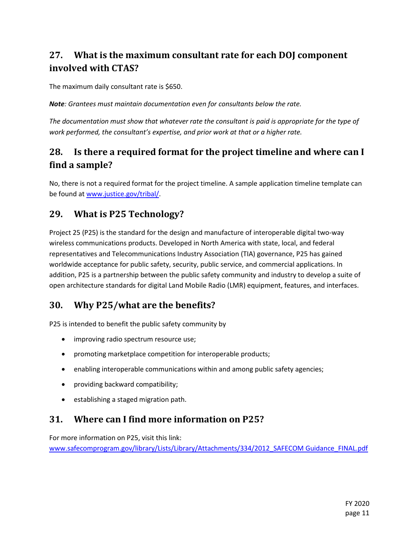### **27. What is the maximum consultant rate for each DOJ component involved with CTAS?**

The maximum daily consultant rate is \$650.

*Note: Grantees must maintain documentation even for consultants below the rate.*

*The documentation must show that whatever rate the consultant is paid is appropriate for the type of work performed, the consultant's expertise, and prior work at that or a higher rate.*

### **28. Is there a required format for the project timeline and where can I find a sample?**

No, there is not a required format for the project timeline. A sample application timeline template can be found at [www.justice.gov/tribal/.](http://www.justice.gov/tribal/)

### **29. What is P25 Technology?**

Project 25 (P25) is the standard for the design and manufacture of interoperable digital two-way wireless communications products. Developed in North America with state, local, and federal representatives and Telecommunications Industry Association (TIA) governance, P25 has gained worldwide acceptance for public safety, security, public service, and commercial applications. In addition, P25 is a partnership between the public safety community and industry to develop a suite of open architecture standards for digital Land Mobile Radio (LMR) equipment, features, and interfaces.

### **30. Why P25/what are the benefits?**

P25 is intended to benefit the public safety community by

- improving radio spectrum resource use;
- promoting marketplace competition for interoperable products;
- enabling interoperable communications within and among public safety agencies;
- providing backward compatibility;
- establishing a staged migration path.

### **31. Where can I find more information on P25?**

For more information on P25, visit this link:

[www.safecomprogram.gov/library/Lists/Library/Attachments/334/2012\\_SAFECOM Guidance\\_FINAL.pdf](http://www.safecomprogram.gov/library/Lists/Library/Attachments/334/2012_SAFECOM%20Guidance_FINAL.pdf)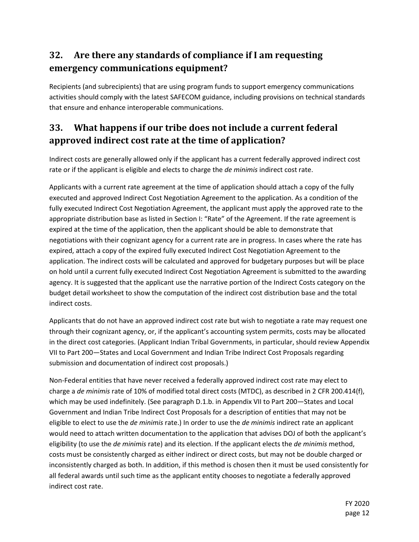### **32. Are there any standards of compliance if I am requesting emergency communications equipment?**

Recipients (and subrecipients) that are using program funds to support emergency communications activities should comply with the latest SAFECOM guidance, including provisions on technical standards that ensure and enhance interoperable communications.

### **33. What happens if our tribe does not include a current federal approved indirect cost rate at the time of application?**

Indirect costs are generally allowed only if the applicant has a current federally approved indirect cost rate or if the applicant is eligible and elects to charge the *de minimis* indirect cost rate.

Applicants with a current rate agreement at the time of application should attach a copy of the fully executed and approved Indirect Cost Negotiation Agreement to the application. As a condition of the fully executed Indirect Cost Negotiation Agreement, the applicant must apply the approved rate to the appropriate distribution base as listed in Section I: "Rate" of the Agreement. If the rate agreement is expired at the time of the application, then the applicant should be able to demonstrate that negotiations with their cognizant agency for a current rate are in progress. In cases where the rate has expired, attach a copy of the expired fully executed Indirect Cost Negotiation Agreement to the application. The indirect costs will be calculated and approved for budgetary purposes but will be place on hold until a current fully executed Indirect Cost Negotiation Agreement is submitted to the awarding agency. It is suggested that the applicant use the narrative portion of the Indirect Costs category on the budget detail worksheet to show the computation of the indirect cost distribution base and the total indirect costs.

Applicants that do not have an approved indirect cost rate but wish to negotiate a rate may request one through their cognizant agency, or, if the applicant's accounting system permits, costs may be allocated in the direct cost categories. (Applicant Indian Tribal Governments, in particular, should review Appendix VII to Part 200—States and Local Government and Indian Tribe Indirect Cost Proposals regarding submission and documentation of indirect cost proposals.)

Non-Federal entities that have never received a federally approved indirect cost rate may elect to charge a *de minimis* rate of 10% of modified total direct costs (MTDC), as described in 2 CFR 200.414(f), which may be used indefinitely. (See paragraph D.1.b. in Appendix VII to Part 200—States and Local Government and Indian Tribe Indirect Cost Proposals for a description of entities that may not be eligible to elect to use the *de minimis* rate.) In order to use the *de minimis* indirect rate an applicant would need to attach written documentation to the application that advises DOJ of both the applicant's eligibility (to use the *de minimis* rate) and its election. If the applicant elects the *de minimis* method, costs must be consistently charged as either indirect or direct costs, but may not be double charged or inconsistently charged as both. In addition, if this method is chosen then it must be used consistently for all federal awards until such time as the applicant entity chooses to negotiate a federally approved indirect cost rate.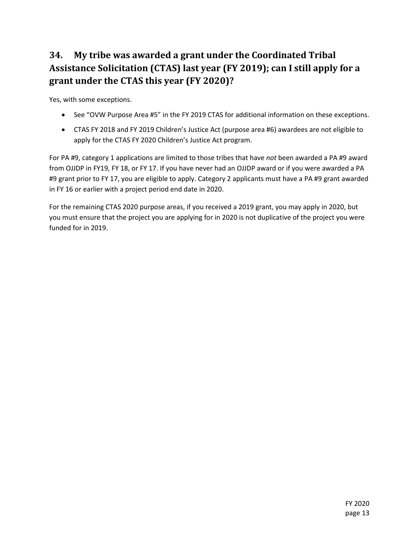# **34. My tribe was awarded a grant under the Coordinated Tribal Assistance Solicitation (CTAS) last year (FY 2019); can I still apply for a grant under the CTAS this year (FY 2020)?**

Yes, with some exceptions.

- See "OVW Purpose Area #5" in the FY 2019 CTAS for additional information on these exceptions.
- CTAS FY 2018 and FY 2019 Children's Justice Act (purpose area #6) awardees are not eligible to apply for the CTAS FY 2020 Children's Justice Act program.

For PA #9, category 1 applications are limited to those tribes that have *not* been awarded a PA #9 award from OJJDP in FY19, FY 18, or FY 17. If you have never had an OJJDP award or if you were awarded a PA #9 grant prior to FY 17, you are eligible to apply. Category 2 applicants must have a PA #9 grant awarded in FY 16 or earlier with a project period end date in 2020.

For the remaining CTAS 2020 purpose areas, if you received a 2019 grant, you may apply in 2020, but you must ensure that the project you are applying for in 2020 is not duplicative of the project you were funded for in 2019.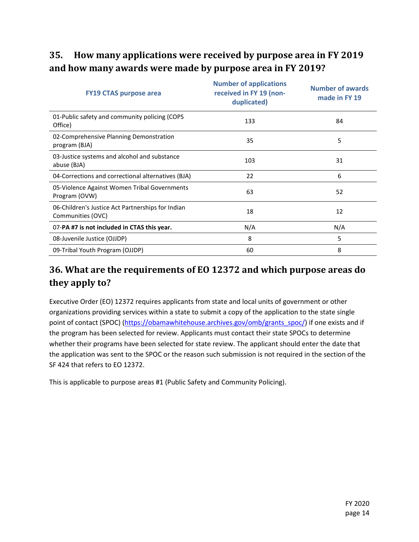## **35. How many applications were received by purpose area in FY 2019 and how many awards were made by purpose area in FY 2019?**

| <b>FY19 CTAS purpose area</b>                                          | <b>Number of applications</b><br>received in FY 19 (non-<br>duplicated) | <b>Number of awards</b><br>made in FY 19 |
|------------------------------------------------------------------------|-------------------------------------------------------------------------|------------------------------------------|
| 01-Public safety and community policing (COPS<br>Office)               | 133                                                                     | 84                                       |
| 02-Comprehensive Planning Demonstration<br>program (BJA)               | 35                                                                      | 5                                        |
| 03-Justice systems and alcohol and substance<br>abuse (BJA)            | 103                                                                     | 31                                       |
| 04-Corrections and correctional alternatives (BJA)                     | 22                                                                      | 6                                        |
| 05-Violence Against Women Tribal Governments<br>Program (OVW)          | 63                                                                      | 52                                       |
| 06-Children's Justice Act Partnerships for Indian<br>Communities (OVC) | 18                                                                      | 12                                       |
| 07-PA #7 is not included in CTAS this year.                            | N/A                                                                     | N/A                                      |
| 08-Juvenile Justice (OJJDP)                                            | 8                                                                       | 5                                        |
| 09-Tribal Youth Program (OJJDP)                                        | 60                                                                      | 8                                        |

### **36. What are the requirements of EO 12372 and which purpose areas do they apply to?**

Executive Order (EO) 12372 requires applicants from state and local units of government or other organizations providing services within a state to submit a copy of the application to the state single point of contact (SPOC) [\(https://obamawhitehouse.archives.gov/omb/grants\\_spoc/\)](https://obamawhitehouse.archives.gov/omb/grants_spoc/) if one exists and if the program has been selected for review. Applicants must contact their state SPOCs to determine whether their programs have been selected for state review. The applicant should enter the date that the application was sent to the SPOC or the reason such submission is not required in the section of the SF 424 that refers to EO 12372.

This is applicable to purpose areas #1 (Public Safety and Community Policing).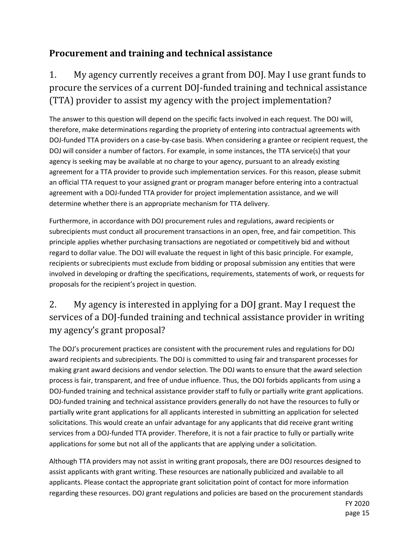### **Procurement and training and technical assistance**

# 1. My agency currently receives a grant from DOJ. May I use grant funds to procure the services of a current DOJ-funded training and technical assistance (TTA) provider to assist my agency with the project implementation?

The answer to this question will depend on the specific facts involved in each request. The DOJ will, therefore, make determinations regarding the propriety of entering into contractual agreements with DOJ-funded TTA providers on a case-by-case basis. When considering a grantee or recipient request, the DOJ will consider a number of factors. For example, in some instances, the TTA service(s) that your agency is seeking may be available at no charge to your agency, pursuant to an already existing agreement for a TTA provider to provide such implementation services. For this reason, please submit an official TTA request to your assigned grant or program manager before entering into a contractual agreement with a DOJ-funded TTA provider for project implementation assistance, and we will determine whether there is an appropriate mechanism for TTA delivery.

Furthermore, in accordance with DOJ procurement rules and regulations, award recipients or subrecipients must conduct all procurement transactions in an open, free, and fair competition. This principle applies whether purchasing transactions are negotiated or competitively bid and without regard to dollar value. The DOJ will evaluate the request in light of this basic principle. For example, recipients or subrecipients must exclude from bidding or proposal submission any entities that were involved in developing or drafting the specifications, requirements, statements of work, or requests for proposals for the recipient's project in question.

# 2. My agency is interested in applying for a DOJ grant. May I request the services of a DOJ-funded training and technical assistance provider in writing my agency's grant proposal?

The DOJ's procurement practices are consistent with the procurement rules and regulations for DOJ award recipients and subrecipients. The DOJ is committed to using fair and transparent processes for making grant award decisions and vendor selection. The DOJ wants to ensure that the award selection process is fair, transparent, and free of undue influence. Thus, the DOJ forbids applicants from using a DOJ-funded training and technical assistance provider staff to fully or partially write grant applications. DOJ-funded training and technical assistance providers generally do not have the resources to fully or partially write grant applications for all applicants interested in submitting an application for selected solicitations. This would create an unfair advantage for any applicants that did receive grant writing services from a DOJ-funded TTA provider. Therefore, it is not a fair practice to fully or partially write applications for some but not all of the applicants that are applying under a solicitation.

Although TTA providers may not assist in writing grant proposals, there are DOJ resources designed to assist applicants with grant writing. These resources are nationally publicized and available to all applicants. Please contact the appropriate grant solicitation point of contact for more information regarding these resources. DOJ grant regulations and policies are based on the procurement standards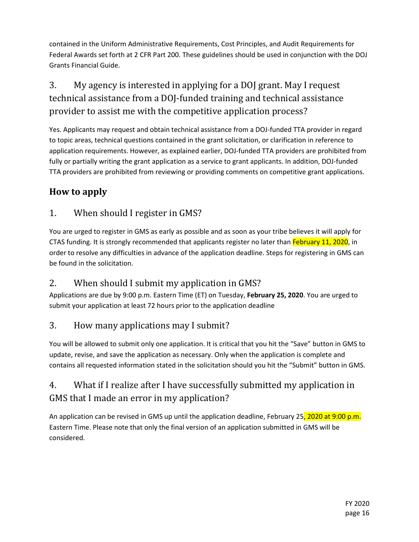contained in the Uniform Administrative Requirements, Cost Principles, and Audit Requirements for Federal Awards set forth at 2 CFR Part 200. These guidelines should be used in conjunction with the DOJ Grants Financial Guide.

# 3. My agency is interested in applying for a DOJ grant. May I request technical assistance from a DOJ-funded training and technical assistance provider to assist me with the competitive application process?

Yes. Applicants may request and obtain technical assistance from a DOJ-funded TTA provider in regard to topic areas, technical questions contained in the grant solicitation, or clarification in reference to application requirements. However, as explained earlier, DOJ-funded TTA providers are prohibited from fully or partially writing the grant application as a service to grant applicants. In addition, DOJ-funded TTA providers are prohibited from reviewing or providing comments on competitive grant applications.

### **How to apply**

### 1. When should I register in GMS?

You are urged to register in GMS as early as possible and as soon as your tribe believes it will apply for CTAS funding. It is strongly recommended that applicants register no later than February 11, 2020, in order to resolve any difficulties in advance of the application deadline. Steps for registering in GMS can be found in the solicitation.

### 2. When should I submit my application in GMS?

Applications are due by 9:00 p.m. Eastern Time (ET) on Tuesday, **February 25, 2020**. You are urged to submit your application at least 72 hours prior to the application deadline

### 3. How many applications may I submit?

You will be allowed to submit only one application. It is critical that you hit the "Save" button in GMS to update, revise, and save the application as necessary. Only when the application is complete and contains all requested information stated in the solicitation should you hit the "Submit" button in GMS.

# 4. What if I realize after I have successfully submitted my application in GMS that I made an error in my application?

An application can be revised in GMS up until the application deadline, February 25, 2020 at 9:00 p.m. Eastern Time. Please note that only the final version of an application submitted in GMS will be considered.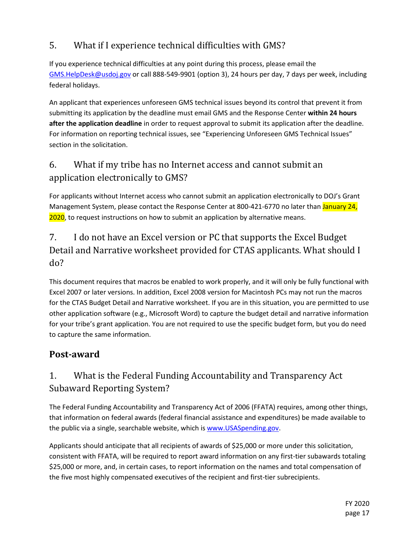### 5. What if I experience technical difficulties with GMS?

If you experience technical difficulties at any point during this process, please email the [GMS.HelpDesk@usdoj.gov](mailto:GMS.HelpDesk@usdoj.gov) or call 888-549-9901 (option 3), 24 hours per day, 7 days per week, including federal holidays.

An applicant that experiences unforeseen GMS technical issues beyond its control that prevent it from submitting its application by the deadline must email GMS and the Response Center **within 24 hours after the application deadline** in order to request approval to submit its application after the deadline. For information on reporting technical issues, see "Experiencing Unforeseen GMS Technical Issues" section in the solicitation.

### 6. What if my tribe has no Internet access and cannot submit an application electronically to GMS?

For applicants without Internet access who cannot submit an application electronically to DOJ's Grant Management System, please contact the Response Center at 800-421-6770 no later than January 24, 2020, to request instructions on how to submit an application by alternative means.

# 7. I do not have an Excel version or PC that supports the Excel Budget Detail and Narrative worksheet provided for CTAS applicants. What should I do?

This document requires that macros be enabled to work properly, and it will only be fully functional with Excel 2007 or later versions. In addition, Excel 2008 version for Macintosh PCs may not run the macros for the CTAS Budget Detail and Narrative worksheet. If you are in this situation, you are permitted to use other application software (e.g., Microsoft Word) to capture the budget detail and narrative information for your tribe's grant application. You are not required to use the specific budget form, but you do need to capture the same information.

### **Post-award**

# 1. What is the Federal Funding Accountability and Transparency Act Subaward Reporting System?

The Federal Funding Accountability and Transparency Act of 2006 (FFATA) requires, among other things, that information on federal awards (federal financial assistance and expenditures) be made available to the public via a single, searchable website, which i[s www.USASpending.gov.](http://www.usaspending.gov/)

Applicants should anticipate that all recipients of awards of \$25,000 or more under this solicitation, consistent with FFATA, will be required to report award information on any first-tier subawards totaling \$25,000 or more, and, in certain cases, to report information on the names and total compensation of the five most highly compensated executives of the recipient and first-tier subrecipients.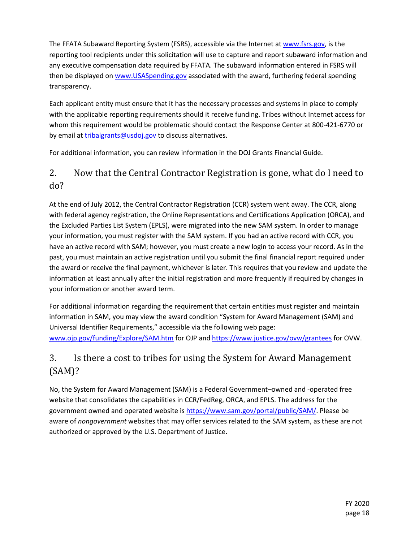The FFATA Subaward Reporting System (FSRS), accessible via the Internet a[t www.fsrs.gov,](http://www.fsrs.gov/) is the reporting tool recipients under this solicitation will use to capture and report subaward information and any executive compensation data required by FFATA. The subaward information entered in FSRS will then be displayed on [www.USASpending.gov](http://www.usaspending.gov/) associated with the award, furthering federal spending transparency.

Each applicant entity must ensure that it has the necessary processes and systems in place to comply with the applicable reporting requirements should it receive funding. Tribes without Internet access for whom this requirement would be problematic should contact the Response Center at 800-421-6770 or by email at [tribalgrants@usdoj.gov](mailto:tribalgrants@usdoj.gov) to discuss alternatives.

For additional information, you can review information in the DOJ Grants Financial Guide.

### 2. Now that the Central Contractor Registration is gone, what do I need to do?

At the end of July 2012, the Central Contractor Registration (CCR) system went away. The CCR, along with federal agency registration, the Online Representations and Certifications Application (ORCA), and the Excluded Parties List System (EPLS), were migrated into the new SAM system. In order to manage your information, you must register with the SAM system. If you had an active record with CCR, you have an active record with SAM; however, you must create a new login to access your record. As in the past, you must maintain an active registration until you submit the final financial report required under the award or receive the final payment, whichever is later. This requires that you review and update the information at least annually after the initial registration and more frequently if required by changes in your information or another award term.

For additional information regarding the requirement that certain entities must register and maintain information in SAM, you may view the award condition "System for Award Management (SAM) and Universal Identifier Requirements," accessible via the following web page: [www.ojp.gov/funding/Explore/SAM.htm](http://www.ojp.gov/funding/Explore/SAM.htm) for OJP and<https://www.justice.gov/ovw/grantees> for OVW.

### 3. Is there a cost to tribes for using the System for Award Management (SAM)?

No, the System for Award Management (SAM) is a Federal Government–owned and -operated free website that consolidates the capabilities in CCR/FedReg, ORCA, and EPLS. The address for the government owned and operated website is [https://www.sam.gov/portal/public/SAM/.](https://www.sam.gov/portal/public/SAM/) Please be aware of *nongovernment* websites that may offer services related to the SAM system, as these are not authorized or approved by the U.S. Department of Justice.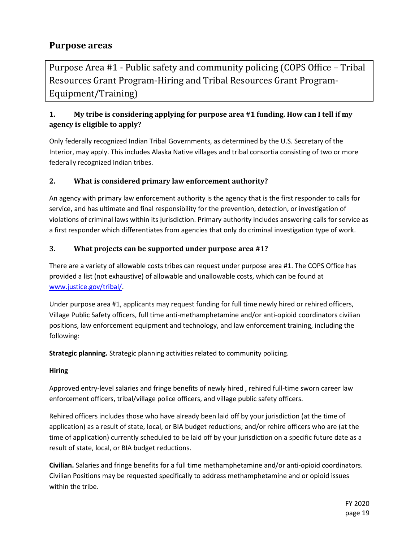### **Purpose areas**

Purpose Area #1 - Public safety and community policing (COPS Office – Tribal Resources Grant Program-Hiring and Tribal Resources Grant Program-Equipment/Training)

### **1. My tribe is considering applying for purpose area #1 funding. How can I tell if my agency is eligible to apply?**

Only federally recognized Indian Tribal Governments, as determined by the U.S. Secretary of the Interior, may apply. This includes Alaska Native villages and tribal consortia consisting of two or more federally recognized Indian tribes.

#### **2. What is considered primary law enforcement authority?**

An agency with primary law enforcement authority is the agency that is the first responder to calls for service, and has ultimate and final responsibility for the prevention, detection, or investigation of violations of criminal laws within its jurisdiction. Primary authority includes answering calls for service as a first responder which differentiates from agencies that only do criminal investigation type of work.

#### **3. What projects can be supported under purpose area #1?**

There are a variety of allowable costs tribes can request under purpose area #1. The COPS Office has provided a list (not exhaustive) of allowable and unallowable costs, which can be found at [www.justice.gov/tribal/.](http://www.justice.gov/tribal/)

Under purpose area #1, applicants may request funding for full time newly hired or rehired officers, Village Public Safety officers, full time anti-methamphetamine and/or anti-opioid coordinators civilian positions, law enforcement equipment and technology, and law enforcement training, including the following:

**Strategic planning.** Strategic planning activities related to community policing.

#### **Hiring**

Approved entry-level salaries and fringe benefits of newly hired , rehired full-time sworn career law enforcement officers, tribal/village police officers, and village public safety officers.

Rehired officers includes those who have already been laid off by your jurisdiction (at the time of application) as a result of state, local, or BIA budget reductions; and/or rehire officers who are (at the time of application) currently scheduled to be laid off by your jurisdiction on a specific future date as a result of state, local, or BIA budget reductions.

**Civilian.** Salaries and fringe benefits for a full time methamphetamine and/or anti-opioid coordinators. Civilian Positions may be requested specifically to address methamphetamine and or opioid issues within the tribe.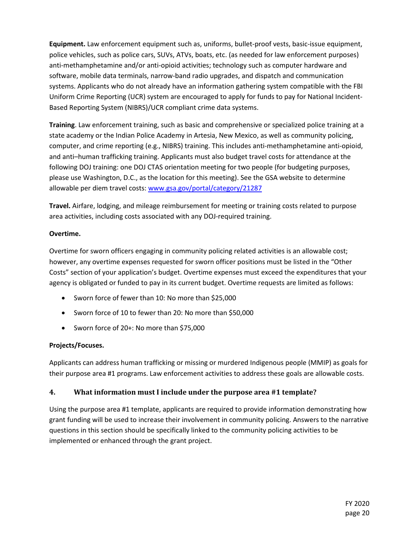**Equipment.** Law enforcement equipment such as, uniforms, bullet-proof vests, basic-issue equipment, police vehicles, such as police cars, SUVs, ATVs, boats, etc. (as needed for law enforcement purposes) anti-methamphetamine and/or anti-opioid activities; technology such as computer hardware and software, mobile data terminals, narrow-band radio upgrades, and dispatch and communication systems. Applicants who do not already have an information gathering system compatible with the FBI Uniform Crime Reporting (UCR) system are encouraged to apply for funds to pay for National Incident-Based Reporting System (NIBRS)/UCR compliant crime data systems.

**Training**. Law enforcement training, such as basic and comprehensive or specialized police training at a state academy or the Indian Police Academy in Artesia, New Mexico, as well as community policing, computer, and crime reporting (e.g., NIBRS) training. This includes anti-methamphetamine anti-opioid, and anti–human trafficking training. Applicants must also budget travel costs for attendance at the following DOJ training: one DOJ CTAS orientation meeting for two people (for budgeting purposes, please use Washington, D.C., as the location for this meeting). See the GSA website to determine allowable per diem travel costs[: www.gsa.gov/portal/category/21287](http://www.gsa.gov/portal/category/21287)

**Travel.** Airfare, lodging, and mileage reimbursement for meeting or training costs related to purpose area activities, including costs associated with any DOJ-required training.

#### **Overtime.**

Overtime for sworn officers engaging in community policing related activities is an allowable cost; however, any overtime expenses requested for sworn officer positions must be listed in the "Other Costs" section of your application's budget. Overtime expenses must exceed the expenditures that your agency is obligated or funded to pay in its current budget. Overtime requests are limited as follows:

- Sworn force of fewer than 10: No more than \$25,000
- Sworn force of 10 to fewer than 20: No more than \$50,000
- Sworn force of 20+: No more than \$75,000

#### **Projects/Focuses.**

Applicants can address human trafficking or missing or murdered Indigenous people (MMIP) as goals for their purpose area #1 programs. Law enforcement activities to address these goals are allowable costs.

#### **4. What information must I include under the purpose area #1 template?**

Using the purpose area #1 template, applicants are required to provide information demonstrating how grant funding will be used to increase their involvement in community policing. Answers to the narrative questions in this section should be specifically linked to the community policing activities to be implemented or enhanced through the grant project.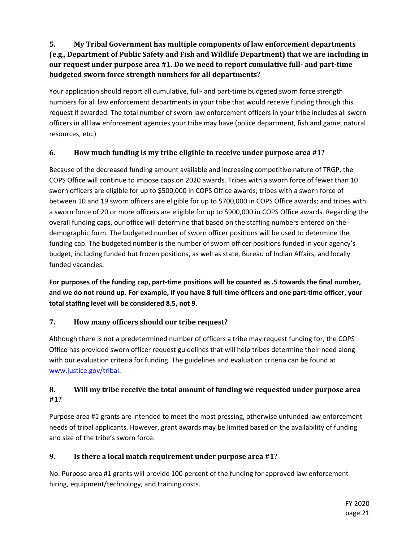### **5. My Tribal Government has multiple components of law enforcement departments (e.g., Department of Public Safety and Fish and Wildlife Department) that we are including in our request under purpose area #1. Do we need to report cumulative full- and part-time budgeted sworn force strength numbers for all departments?**

Your application should report all cumulative, full- and part-time budgeted sworn force strength numbers for all law enforcement departments in your tribe that would receive funding through this request if awarded. The total number of sworn law enforcement officers in your tribe includes all sworn officers in all law enforcement agencies your tribe may have (police department, fish and game, natural resources, etc.)

#### **6. How much funding is my tribe eligible to receive under purpose area #1?**

Because of the decreased funding amount available and increasing competitive nature of TRGP, the COPS Office will continue to impose caps on 2020 awards. Tribes with a sworn force of fewer than 10 sworn officers are eligible for up to \$500,000 in COPS Office awards; tribes with a sworn force of between 10 and 19 sworn officers are eligible for up to \$700,000 in COPS Office awards; and tribes with a sworn force of 20 or more officers are eligible for up to \$900,000 in COPS Office awards. Regarding the overall funding caps, our office will determine that based on the staffing numbers entered on the demographic form. The budgeted number of sworn officer positions will be used to determine the funding cap. The budgeted number is the number of sworn officer positions funded in your agency's budget, including funded but frozen positions, as well as state, Bureau of Indian Affairs, and locally funded vacancies.

**For purposes of the funding cap, part-time positions will be counted as .5 towards the final number, and we do not round up. For example, if you have 8 full-time officers and one part-time officer, your total staffing level will be considered 8.5, not 9.**

#### **7. How many officers should our tribe request?**

Although there is not a predetermined number of officers a tribe may request funding for, the COPS Office has provided sworn officer request guidelines that will help tribes determine their need along with our evaluation criteria for funding. The guidelines and evaluation criteria can be found at [www.justice.gov/tribal.](http://www.justice.gov/tribal)

#### **8. Will my tribe receive the total amount of funding we requested under purpose area #1?**

Purpose area #1 grants are intended to meet the most pressing, otherwise unfunded law enforcement needs of tribal applicants. However, grant awards may be limited based on the availability of funding and size of the tribe's sworn force.

#### **9. Is there a local match requirement under purpose area #1?**

No. Purpose area #1 grants will provide 100 percent of the funding for approved law enforcement hiring, equipment/technology, and training costs.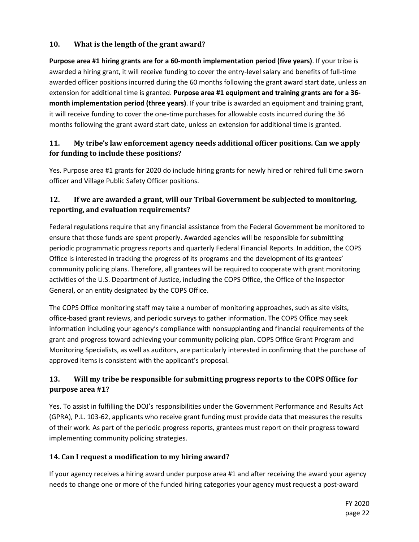#### **10. What is the length of the grant award?**

**Purpose area #1 hiring grants are for a 60-month implementation period (five years)**. If your tribe is awarded a hiring grant, it will receive funding to cover the entry-level salary and benefits of full-time awarded officer positions incurred during the 60 months following the grant award start date, unless an extension for additional time is granted. **Purpose area #1 equipment and training grants are for a 36 month implementation period (three years)**. If your tribe is awarded an equipment and training grant, it will receive funding to cover the one-time purchases for allowable costs incurred during the 36 months following the grant award start date, unless an extension for additional time is granted.

#### **11. My tribe's law enforcement agency needs additional officer positions. Can we apply for funding to include these positions?**

Yes. Purpose area #1 grants for 2020 do include hiring grants for newly hired or rehired full time sworn officer and Village Public Safety Officer positions.

#### **12. If we are awarded a grant, will our Tribal Government be subjected to monitoring, reporting, and evaluation requirements?**

Federal regulations require that any financial assistance from the Federal Government be monitored to ensure that those funds are spent properly. Awarded agencies will be responsible for submitting periodic programmatic progress reports and quarterly Federal Financial Reports. In addition, the COPS Office is interested in tracking the progress of its programs and the development of its grantees' community policing plans. Therefore, all grantees will be required to cooperate with grant monitoring activities of the U.S. Department of Justice, including the COPS Office, the Office of the Inspector General, or an entity designated by the COPS Office.

The COPS Office monitoring staff may take a number of monitoring approaches, such as site visits, office-based grant reviews, and periodic surveys to gather information. The COPS Office may seek information including your agency's compliance with nonsupplanting and financial requirements of the grant and progress toward achieving your community policing plan. COPS Office Grant Program and Monitoring Specialists, as well as auditors, are particularly interested in confirming that the purchase of approved items is consistent with the applicant's proposal.

#### **13. Will my tribe be responsible for submitting progress reports to the COPS Office for purpose area #1?**

Yes. To assist in fulfilling the DOJ's responsibilities under the Government Performance and Results Act (GPRA), P.L. 103-62, applicants who receive grant funding must provide data that measures the results of their work. As part of the periodic progress reports, grantees must report on their progress toward implementing community policing strategies.

#### **14. Can I request a modification to my hiring award?**

If your agency receives a hiring award under purpose area #1 and after receiving the award your agency needs to change one or more of the funded hiring categories your agency must request a post-award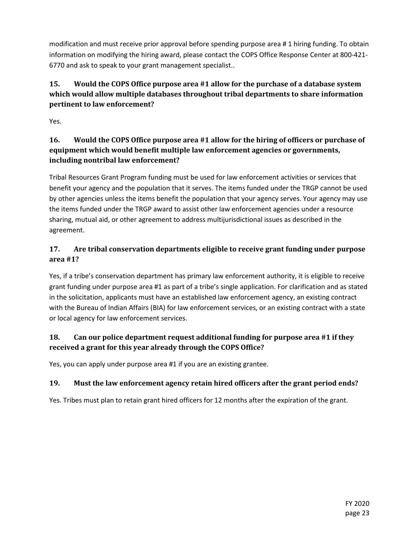modification and must receive prior approval before spending purpose area # 1 hiring funding. To obtain information on modifying the hiring award, please contact the COPS Office Response Center at 800-421- 6770 and ask to speak to your grant management specialist..

### **15. Would the COPS Office purpose area #1 allow for the purchase of a database system which would allow multiple databases throughout tribal departments to share information pertinent to law enforcement?**

Yes.

### **16. Would the COPS Office purpose area #1 allow for the hiring of officers or purchase of equipment which would benefit multiple law enforcement agencies or governments, including nontribal law enforcement?**

Tribal Resources Grant Program funding must be used for law enforcement activities or services that benefit your agency and the population that it serves. The items funded under the TRGP cannot be used by other agencies unless the items benefit the population that your agency serves. Your agency may use the items funded under the TRGP award to assist other law enforcement agencies under a resource sharing, mutual aid, or other agreement to address multijurisdictional issues as described in the agreement.

### **17. Are tribal conservation departments eligible to receive grant funding under purpose area #1?**

Yes, if a tribe's conservation department has primary law enforcement authority, it is eligible to receive grant funding under purpose area #1 as part of a tribe's single application. For clarification and as stated in the solicitation, applicants must have an established law enforcement agency, an existing contract with the Bureau of Indian Affairs (BIA) for law enforcement services, or an existing contract with a state or local agency for law enforcement services.

### **18. Can our police department request additional funding for purpose area #1 if they received a grant for this year already through the COPS Office?**

Yes, you can apply under purpose area #1 if you are an existing grantee.

### **19. Must the law enforcement agency retain hired officers after the grant period ends?**

Yes. Tribes must plan to retain grant hired officers for 12 months after the expiration of the grant.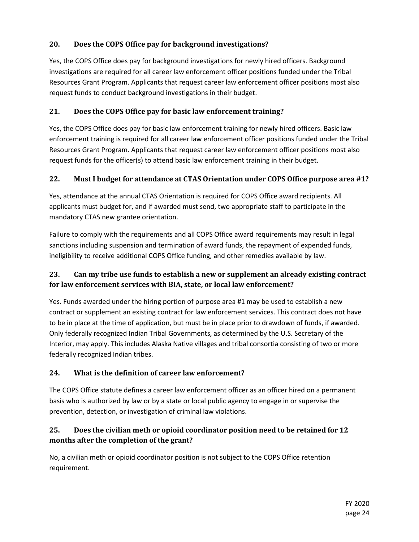#### **20. Does the COPS Office pay for background investigations?**

Yes, the COPS Office does pay for background investigations for newly hired officers. Background investigations are required for all career law enforcement officer positions funded under the Tribal Resources Grant Program. Applicants that request career law enforcement officer positions most also request funds to conduct background investigations in their budget.

#### **21. Does the COPS Office pay for basic law enforcement training?**

Yes, the COPS Office does pay for basic law enforcement training for newly hired officers. Basic law enforcement training is required for all career law enforcement officer positions funded under the Tribal Resources Grant Program. Applicants that request career law enforcement officer positions most also request funds for the officer(s) to attend basic law enforcement training in their budget.

#### **22. Must I budget for attendance at CTAS Orientation under COPS Office purpose area #1?**

Yes, attendance at the annual CTAS Orientation is required for COPS Office award recipients. All applicants must budget for, and if awarded must send, two appropriate staff to participate in the mandatory CTAS new grantee orientation.

Failure to comply with the requirements and all COPS Office award requirements may result in legal sanctions including suspension and termination of award funds, the repayment of expended funds, ineligibility to receive additional COPS Office funding, and other remedies available by law.

#### **23. Can my tribe use funds to establish a new or supplement an already existing contract for law enforcement services with BIA, state, or local law enforcement?**

Yes. Funds awarded under the hiring portion of purpose area #1 may be used to establish a new contract or supplement an existing contract for law enforcement services. This contract does not have to be in place at the time of application, but must be in place prior to drawdown of funds, if awarded. Only federally recognized Indian Tribal Governments, as determined by the U.S. Secretary of the Interior, may apply. This includes Alaska Native villages and tribal consortia consisting of two or more federally recognized Indian tribes.

#### **24. What is the definition of career law enforcement?**

The COPS Office statute defines a career law enforcement officer as an officer hired on a permanent basis who is authorized by law or by a state or local public agency to engage in or supervise the prevention, detection, or investigation of criminal law violations.

### **25. Does the civilian meth or opioid coordinator position need to be retained for 12 months after the completion of the grant?**

No, a civilian meth or opioid coordinator position is not subject to the COPS Office retention requirement.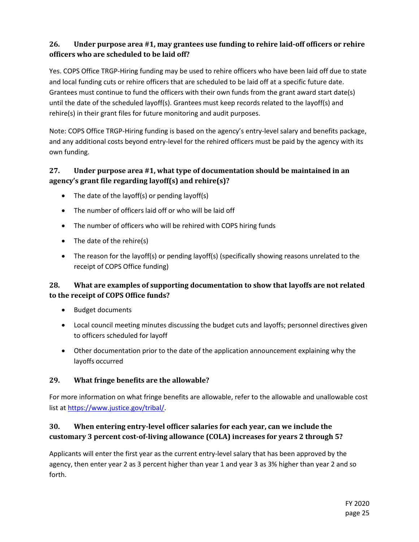### **26. Under purpose area #1, may grantees use funding to rehire laid-off officers or rehire officers who are scheduled to be laid off?**

Yes. COPS Office TRGP-Hiring funding may be used to rehire officers who have been laid off due to state and local funding cuts or rehire officers that are scheduled to be laid off at a specific future date. Grantees must continue to fund the officers with their own funds from the grant award start date(s) until the date of the scheduled layoff(s). Grantees must keep records related to the layoff(s) and rehire(s) in their grant files for future monitoring and audit purposes.

Note: COPS Office TRGP-Hiring funding is based on the agency's entry-level salary and benefits package, and any additional costs beyond entry-level for the rehired officers must be paid by the agency with its own funding.

### **27. Under purpose area #1, what type of documentation should be maintained in an agency's grant file regarding layoff(s) and rehire(s)?**

- The date of the layoff(s) or pending layoff(s)
- The number of officers laid off or who will be laid off
- The number of officers who will be rehired with COPS hiring funds
- The date of the rehire(s)
- The reason for the layoff(s) or pending layoff(s) (specifically showing reasons unrelated to the receipt of COPS Office funding)

#### **28. What are examples of supporting documentation to show that layoffs are not related to the receipt of COPS Office funds?**

- Budget documents
- Local council meeting minutes discussing the budget cuts and layoffs; personnel directives given to officers scheduled for layoff
- Other documentation prior to the date of the application announcement explaining why the layoffs occurred

#### **29. What fringe benefits are the allowable?**

For more information on what fringe benefits are allowable, refer to the allowable and unallowable cost list at [https://www.justice.gov/tribal/.](https://www.justice.gov/tribal/)

### **30. When entering entry-level officer salaries for each year, can we include the customary 3 percent cost-of-living allowance (COLA) increases for years 2 through 5?**

Applicants will enter the first year as the current entry-level salary that has been approved by the agency, then enter year 2 as 3 percent higher than year 1 and year 3 as 3% higher than year 2 and so forth.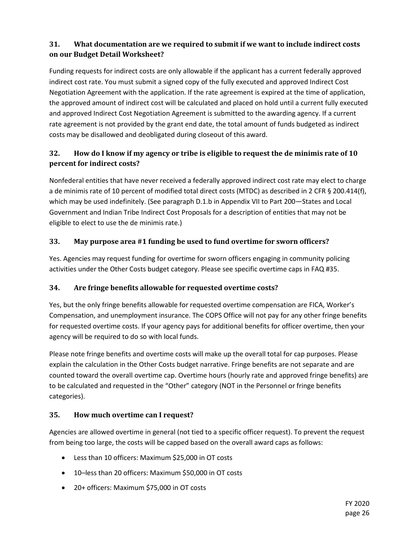### **31. What documentation are we required to submit if we want to include indirect costs on our Budget Detail Worksheet?**

Funding requests for indirect costs are only allowable if the applicant has a current federally approved indirect cost rate. You must submit a signed copy of the fully executed and approved Indirect Cost Negotiation Agreement with the application. If the rate agreement is expired at the time of application, the approved amount of indirect cost will be calculated and placed on hold until a current fully executed and approved Indirect Cost Negotiation Agreement is submitted to the awarding agency. If a current rate agreement is not provided by the grant end date, the total amount of funds budgeted as indirect costs may be disallowed and deobligated during closeout of this award.

### **32. How do I know if my agency or tribe is eligible to request the de minimis rate of 10 percent for indirect costs?**

Nonfederal entities that have never received a federally approved indirect cost rate may elect to charge a de minimis rate of 10 percent of modified total direct costs (MTDC) as described in 2 CFR § 200.414(f), which may be used indefinitely. (See paragraph D.1.b in Appendix VII to Part 200—States and Local Government and Indian Tribe Indirect Cost Proposals for a description of entities that may not be eligible to elect to use the de minimis rate.)

#### **33. May purpose area #1 funding be used to fund overtime for sworn officers?**

Yes. Agencies may request funding for overtime for sworn officers engaging in community policing activities under the Other Costs budget category. Please see specific overtime caps in FAQ #35.

### <span id="page-25-1"></span>**34. Are fringe benefits allowable for requested overtime costs?**

Yes, but the only fringe benefits allowable for requested overtime compensation are FICA, Worker's Compensation, and unemployment insurance. The COPS Office will not pay for any other fringe benefits for requested overtime costs. If your agency pays for additional benefits for officer overtime, then your agency will be required to do so with local funds.

Please note fringe benefits and overtime costs will make up the overall total for cap purposes. Please explain the calculation in the Other Costs budget narrative. Fringe benefits are not separate and are counted toward the overall overtime cap. Overtime hours (hourly rate and approved fringe benefits) are to be calculated and requested in the "Other" category (NOT in the Personnel or fringe benefits categories).

#### <span id="page-25-0"></span>**35. How much overtime can I request?**

Agencies are allowed overtime in general (not tied to a specific officer request). To prevent the request from being too large, the costs will be capped based on the overall award caps as follows:

- Less than 10 officers: Maximum \$25,000 in OT costs
- 10–less than 20 officers: Maximum \$50,000 in OT costs
- 20+ officers: Maximum \$75,000 in OT costs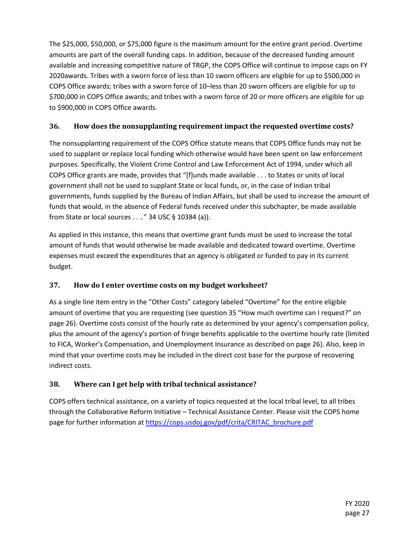The \$25,000, \$50,000, or \$75,000 figure is the maximum amount for the entire grant period. Overtime amounts are part of the overall funding caps. In addition, because of the decreased funding amount available and increasing competitive nature of TRGP, the COPS Office will continue to impose caps on FY 2020awards. Tribes with a sworn force of less than 10 sworn officers are eligible for up to \$500,000 in COPS Office awards; tribes with a sworn force of 10–less than 20 sworn officers are eligible for up to \$700,000 in COPS Office awards; and tribes with a sworn force of 20 or more officers are eligible for up to \$900,000 in COPS Office awards.

#### **36. How does the nonsupplanting requirement impact the requested overtime costs?**

The nonsupplanting requirement of the COPS Office statute means that COPS Office funds may not be used to supplant or replace local funding which otherwise would have been spent on law enforcement purposes. Specifically, the Violent Crime Control and Law Enforcement Act of 1994, under which all COPS Office grants are made, provides that "[f]unds made available . . . to States or units of local government shall not be used to supplant State or local funds, or, in the case of Indian tribal governments, funds supplied by the Bureau of Indian Affairs, but shall be used to increase the amount of funds that would, in the absence of Federal funds received under this subchapter, be made available from State or local sources . . .." 34 USC § 10384 (a)).

As applied in this instance, this means that overtime grant funds must be used to increase the total amount of funds that would otherwise be made available and dedicated toward overtime. Overtime expenses must exceed the expenditures that an agency is obligated or funded to pay in its current budget.

#### **37. How do I enter overtime costs on my budget worksheet?**

As a single line item entry in the "Other Costs" category labeled "Overtime" for the entire eligible amount of overtime that you are requesting (see question 35 "How much overtime can I request?" on page [26\)](#page-25-0). Overtime costs consist of the hourly rate as determined by your agency's compensation policy, plus the amount of the agency's portion of fringe benefits applicable to the overtime hourly rate (limited to FICA, Worker's Compensation, and Unemployment Insurance as described on page [26\)](#page-25-1). Also, keep in mind that your overtime costs may be included in the direct cost base for the purpose of recovering indirect costs.

#### **38. Where can I get help with tribal technical assistance?**

COPS offers technical assistance, on a variety of topics requested at the local tribal level, to all tribes through the Collaborative Reform Initiative – Technical Assistance Center. Please visit the COPS home page for further information at [https://cops.usdoj.gov/pdf/crita/CRITAC\\_brochure.pdf](https://cops.usdoj.gov/pdf/crita/CRITAC_brochure.pdf)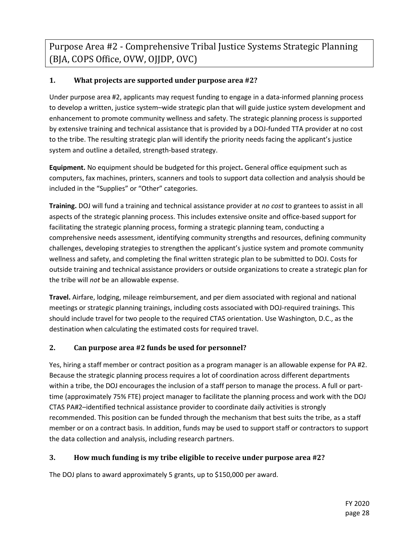Purpose Area #2 - Comprehensive Tribal Justice Systems Strategic Planning (BJA, COPS Office, OVW, OJJDP, OVC)

#### **1. What projects are supported under purpose area #2?**

Under purpose area #2, applicants may request funding to engage in a data-informed planning process to develop a written, justice system–wide strategic plan that will guide justice system development and enhancement to promote community wellness and safety. The strategic planning process is supported by extensive training and technical assistance that is provided by a DOJ-funded TTA provider at no cost to the tribe. The resulting strategic plan will identify the priority needs facing the applicant's justice system and outline a detailed, strength-based strategy.

**Equipment.** No equipment should be budgeted for this project**.** General office equipment such as computers, fax machines, printers, scanners and tools to support data collection and analysis should be included in the "Supplies" or "Other" categories.

**Training.** DOJ will fund a training and technical assistance provider at *no cost* to grantees to assist in all aspects of the strategic planning process. This includes extensive onsite and office-based support for facilitating the strategic planning process, forming a strategic planning team, conducting a comprehensive needs assessment, identifying community strengths and resources, defining community challenges, developing strategies to strengthen the applicant's justice system and promote community wellness and safety, and completing the final written strategic plan to be submitted to DOJ. Costs for outside training and technical assistance providers or outside organizations to create a strategic plan for the tribe will *not* be an allowable expense.

**Travel.** Airfare, lodging, mileage reimbursement, and per diem associated with regional and national meetings or strategic planning trainings, including costs associated with DOJ-required trainings. This should include travel for two people to the required CTAS orientation. Use Washington, D.C., as the destination when calculating the estimated costs for required travel.

#### **2. Can purpose area #2 funds be used for personnel?**

Yes, hiring a staff member or contract position as a program manager is an allowable expense for PA #2. Because the strategic planning process requires a lot of coordination across different departments within a tribe, the DOJ encourages the inclusion of a staff person to manage the process. A full or parttime (approximately 75% FTE) project manager to facilitate the planning process and work with the DOJ CTAS PA#2–identified technical assistance provider to coordinate daily activities is strongly recommended. This position can be funded through the mechanism that best suits the tribe, as a staff member or on a contract basis. In addition, funds may be used to support staff or contractors to support the data collection and analysis, including research partners.

#### **3. How much funding is my tribe eligible to receive under purpose area #2?**

The DOJ plans to award approximately 5 grants, up to \$150,000 per award.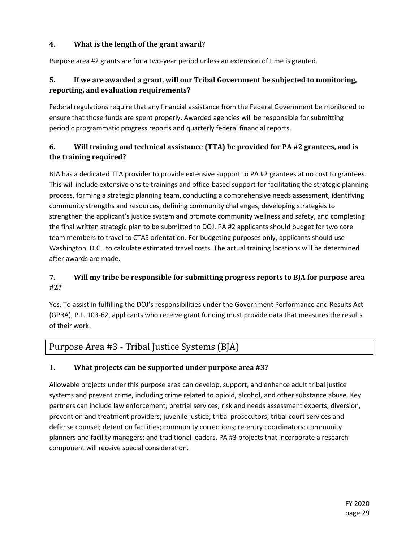#### **4. What is the length of the grant award?**

Purpose area #2 grants are for a two-year period unless an extension of time is granted.

#### **5. If we are awarded a grant, will our Tribal Government be subjected to monitoring, reporting, and evaluation requirements?**

Federal regulations require that any financial assistance from the Federal Government be monitored to ensure that those funds are spent properly. Awarded agencies will be responsible for submitting periodic programmatic progress reports and quarterly federal financial reports.

### **6. Will training and technical assistance (TTA) be provided for PA #2 grantees, and is the training required?**

BJA has a dedicated TTA provider to provide extensive support to PA #2 grantees at no cost to grantees. This will include extensive onsite trainings and office-based support for facilitating the strategic planning process, forming a strategic planning team, conducting a comprehensive needs assessment, identifying community strengths and resources, defining community challenges, developing strategies to strengthen the applicant's justice system and promote community wellness and safety, and completing the final written strategic plan to be submitted to DOJ. PA #2 applicants should budget for two core team members to travel to CTAS orientation. For budgeting purposes only, applicants should use Washington, D.C., to calculate estimated travel costs. The actual training locations will be determined after awards are made.

### **7. Will my tribe be responsible for submitting progress reports to BJA for purpose area #2?**

Yes. To assist in fulfilling the DOJ's responsibilities under the Government Performance and Results Act (GPRA), P.L. 103-62, applicants who receive grant funding must provide data that measures the results of their work.

### Purpose Area #3 - Tribal Justice Systems (BJA)

#### **1. What projects can be supported under purpose area #3?**

Allowable projects under this purpose area can develop, support, and enhance adult tribal justice systems and prevent crime, including crime related to opioid, alcohol, and other substance abuse. Key partners can include law enforcement; pretrial services; risk and needs assessment experts; diversion, prevention and treatment providers; juvenile justice; tribal prosecutors; tribal court services and defense counsel; detention facilities; community corrections; re-entry coordinators; community planners and facility managers; and traditional leaders. PA #3 projects that incorporate a research component will receive special consideration.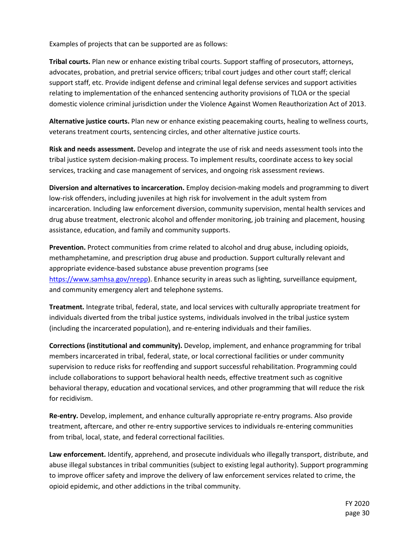Examples of projects that can be supported are as follows:

**Tribal courts.** Plan new or enhance existing tribal courts. Support staffing of prosecutors, attorneys, advocates, probation, and pretrial service officers; tribal court judges and other court staff; clerical support staff, etc. Provide indigent defense and criminal legal defense services and support activities relating to implementation of the enhanced sentencing authority provisions of TLOA or the special domestic violence criminal jurisdiction under the Violence Against Women Reauthorization Act of 2013.

**Alternative justice courts.** Plan new or enhance existing peacemaking courts, healing to wellness courts, veterans treatment courts, sentencing circles, and other alternative justice courts.

**Risk and needs assessment.** Develop and integrate the use of risk and needs assessment tools into the tribal justice system decision-making process. To implement results, coordinate access to key social services, tracking and case management of services, and ongoing risk assessment reviews.

**Diversion and alternatives to incarceration.** Employ decision-making models and programming to divert low-risk offenders, including juveniles at high risk for involvement in the adult system from incarceration. Including law enforcement diversion, community supervision, mental health services and drug abuse treatment, electronic alcohol and offender monitoring, job training and placement, housing assistance, education, and family and community supports.

**Prevention.** Protect communities from crime related to alcohol and drug abuse, including opioids, methamphetamine, and prescription drug abuse and production. Support culturally relevant and appropriate evidence-based substance abuse prevention programs (see https://www.samhsa.gov/nrepp). Enhance security in areas such as lighting, surveillance equipment, and community emergency alert and telephone systems.

**Treatment.** Integrate tribal, federal, state, and local services with culturally appropriate treatment for individuals diverted from the tribal justice systems, individuals involved in the tribal justice system (including the incarcerated population), and re-entering individuals and their families.

**Corrections (institutional and community).** Develop, implement, and enhance programming for tribal members incarcerated in tribal, federal, state, or local correctional facilities or under community supervision to reduce risks for reoffending and support successful rehabilitation. Programming could include collaborations to support behavioral health needs, effective treatment such as cognitive behavioral therapy, education and vocational services, and other programming that will reduce the risk for recidivism.

**Re-entry.** Develop, implement, and enhance culturally appropriate re-entry programs. Also provide treatment, aftercare, and other re-entry supportive services to individuals re-entering communities from tribal, local, state, and federal correctional facilities.

**Law enforcement.** Identify, apprehend, and prosecute individuals who illegally transport, distribute, and abuse illegal substances in tribal communities (subject to existing legal authority). Support programming to improve officer safety and improve the delivery of law enforcement services related to crime, the opioid epidemic, and other addictions in the tribal community.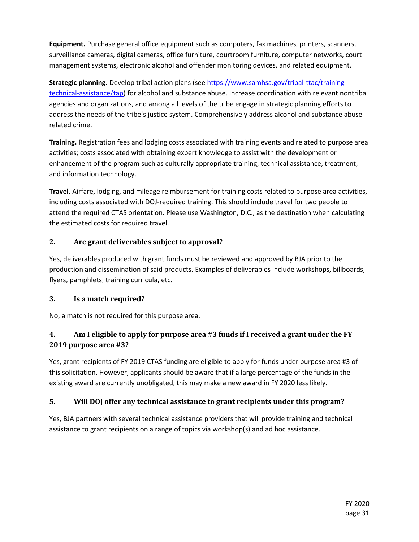**Equipment.** Purchase general office equipment such as computers, fax machines, printers, scanners, surveillance cameras, digital cameras, office furniture, courtroom furniture, computer networks, court management systems, electronic alcohol and offender monitoring devices, and related equipment.

**Strategic planning.** Develop tribal action plans (see [https://www.samhsa.gov/tribal-ttac/training](https://www.samhsa.gov/tribal-ttac/training-technical-assistance/tap)[technical-assistance/tap\)](https://www.samhsa.gov/tribal-ttac/training-technical-assistance/tap) for alcohol and substance abuse. Increase coordination with relevant nontribal agencies and organizations, and among all levels of the tribe engage in strategic planning efforts to address the needs of the tribe's justice system. Comprehensively address alcohol and substance abuserelated crime.

**Training.** Registration fees and lodging costs associated with training events and related to purpose area activities; costs associated with obtaining expert knowledge to assist with the development or enhancement of the program such as culturally appropriate training, technical assistance, treatment, and information technology.

**Travel.** Airfare, lodging, and mileage reimbursement for training costs related to purpose area activities, including costs associated with DOJ-required training. This should include travel for two people to attend the required CTAS orientation. Please use Washington, D.C., as the destination when calculating the estimated costs for required travel.

#### **2. Are grant deliverables subject to approval?**

Yes, deliverables produced with grant funds must be reviewed and approved by BJA prior to the production and dissemination of said products. Examples of deliverables include workshops, billboards, flyers, pamphlets, training curricula, etc.

#### **3. Is a match required?**

No, a match is not required for this purpose area.

### **4. Am I eligible to apply for purpose area #3 funds if I received a grant under the FY 2019 purpose area #3?**

Yes, grant recipients of FY 2019 CTAS funding are eligible to apply for funds under purpose area #3 of this solicitation. However, applicants should be aware that if a large percentage of the funds in the existing award are currently unobligated, this may make a new award in FY 2020 less likely.

#### **5. Will DOJ offer any technical assistance to grant recipients under this program?**

Yes, BJA partners with several technical assistance providers that will provide training and technical assistance to grant recipients on a range of topics via workshop(s) and ad hoc assistance.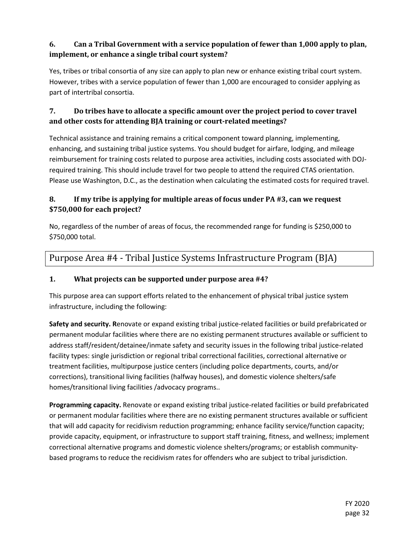### **6. Can a Tribal Government with a service population of fewer than 1,000 apply to plan, implement, or enhance a single tribal court system?**

Yes, tribes or tribal consortia of any size can apply to plan new or enhance existing tribal court system. However, tribes with a service population of fewer than 1,000 are encouraged to consider applying as part of intertribal consortia.

#### **7. Do tribes have to allocate a specific amount over the project period to cover travel and other costs for attending BJA training or court-related meetings?**

Technical assistance and training remains a critical component toward planning, implementing, enhancing, and sustaining tribal justice systems. You should budget for airfare, lodging, and mileage reimbursement for training costs related to purpose area activities, including costs associated with DOJrequired training. This should include travel for two people to attend the required CTAS orientation. Please use Washington, D.C., as the destination when calculating the estimated costs for required travel.

### **8. If my tribe is applying for multiple areas of focus under PA #3, can we request \$750,000 for each project?**

No, regardless of the number of areas of focus, the recommended range for funding is \$250,000 to \$750,000 total.

### Purpose Area #4 - Tribal Justice Systems Infrastructure Program (BJA)

### **1. What projects can be supported under purpose area #4?**

This purpose area can support efforts related to the enhancement of physical tribal justice system infrastructure, including the following:

**Safety and security. R**enovate or expand existing tribal justice-related facilities or build prefabricated or permanent modular facilities where there are no existing permanent structures available or sufficient to address staff/resident/detainee/inmate safety and security issues in the following tribal justice-related facility types: single jurisdiction or regional tribal correctional facilities, correctional alternative or treatment facilities, multipurpose justice centers (including police departments, courts, and/or corrections), transitional living facilities (halfway houses), and domestic violence shelters/safe homes/transitional living facilities /advocacy programs..

**Programming capacity.** Renovate or expand existing tribal justice-related facilities or build prefabricated or permanent modular facilities where there are no existing permanent structures available or sufficient that will add capacity for recidivism reduction programming; enhance facility service/function capacity; provide capacity, equipment, or infrastructure to support staff training, fitness, and wellness; implement correctional alternative programs and domestic violence shelters/programs; or establish communitybased programs to reduce the recidivism rates for offenders who are subject to tribal jurisdiction.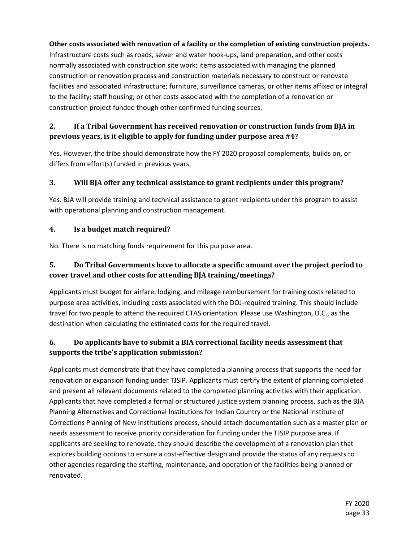#### **Other costs associated with renovation of a facility or the completion of existing construction projects.**

Infrastructure costs such as roads, sewer and water hook-ups, land preparation, and other costs normally associated with construction site work; items associated with managing the planned construction or renovation process and construction materials necessary to construct or renovate facilities and associated infrastructure; furniture, surveillance cameras, or other items affixed or integral to the facility; staff housing; or other costs associated with the completion of a renovation or construction project funded though other confirmed funding sources.

#### **2. If a Tribal Government has received renovation or construction funds from BJA in previous years, is it eligible to apply for funding under purpose area #4?**

Yes. However, the tribe should demonstrate how the FY 2020 proposal complements, builds on, or differs from effort(s) funded in previous years.

#### **3. Will BJA offer any technical assistance to grant recipients under this program?**

Yes. BJA will provide training and technical assistance to grant recipients under this program to assist with operational planning and construction management.

#### **4. Is a budget match required?**

No. There is no matching funds requirement for this purpose area.

#### **5. Do Tribal Governments have to allocate a specific amount over the project period to cover travel and other costs for attending BJA training/meetings?**

Applicants must budget for airfare, lodging, and mileage reimbursement for training costs related to purpose area activities, including costs associated with the DOJ-required training. This should include travel for two people to attend the required CTAS orientation. Please use Washington, D.C., as the destination when calculating the estimated costs for the required travel.

#### **6. Do applicants have to submit a BIA correctional facility needs assessment that supports the tribe's application submission?**

Applicants must demonstrate that they have completed a planning process that supports the need for renovation or expansion funding under TJSIP. Applicants must certify the extent of planning completed and present all relevant documents related to the completed planning activities with their application. Applicants that have completed a formal or structured justice system planning process, such as the BJA Planning Alternatives and Correctional Institutions for Indian Country or the National Institute of Corrections Planning of New Institutions process, should attach documentation such as a master plan or needs assessment to receive priority consideration for funding under the TJSIP purpose area. If applicants are seeking to renovate, they should describe the development of a renovation plan that explores building options to ensure a cost-effective design and provide the status of any requests to other agencies regarding the staffing, maintenance, and operation of the facilities being planned or renovated.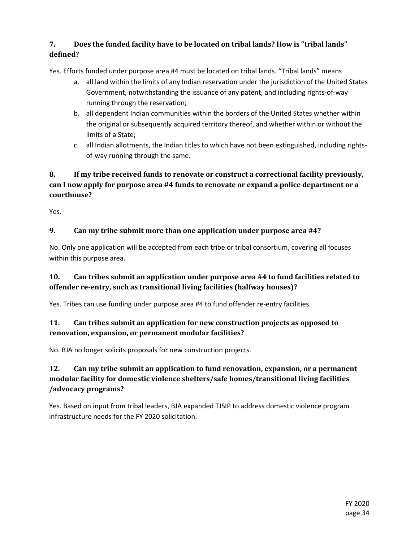### **7. Does the funded facility have to be located on tribal lands? How is "tribal lands" defined?**

Yes. Efforts funded under purpose area #4 must be located on tribal lands. "Tribal lands" means

- a. all land within the limits of any Indian reservation under the jurisdiction of the United States Government, notwithstanding the issuance of any patent, and including rights-of-way running through the reservation;
- b. all dependent Indian communities within the borders of the United States whether within the original or subsequently acquired territory thereof, and whether within or without the limits of a State;
- c. all Indian allotments, the Indian titles to which have not been extinguished, including rightsof-way running through the same.

#### **8. If my tribe received funds to renovate or construct a correctional facility previously, can I now apply for purpose area #4 funds to renovate or expand a police department or a courthouse?**

Yes.

#### **9. Can my tribe submit more than one application under purpose area #4?**

No. Only one application will be accepted from each tribe or tribal consortium, covering all focuses within this purpose area.

#### **10. Can tribes submit an application under purpose area #4 to fund facilities related to offender re-entry, such as transitional living facilities (halfway houses)?**

Yes. Tribes can use funding under purpose area #4 to fund offender re-entry facilities.

#### **11. Can tribes submit an application for new construction projects as opposed to renovation, expansion, or permanent modular facilities?**

No. BJA no longer solicits proposals for new construction projects.

### **12. Can my tribe submit an application to fund renovation, expansion, or a permanent modular facility for domestic violence shelters/safe homes/transitional living facilities /advocacy programs?**

Yes. Based on input from tribal leaders, BJA expanded TJSIP to address domestic violence program infrastructure needs for the FY 2020 solicitation.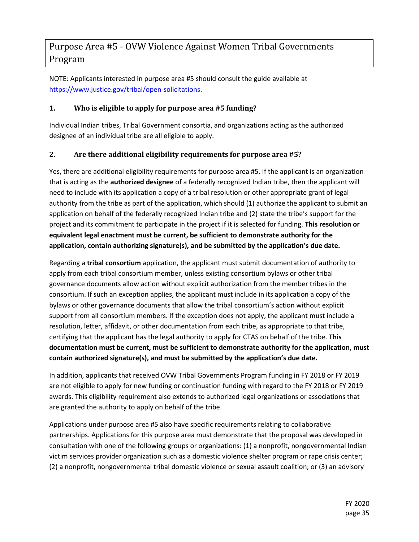### Purpose Area #5 - OVW Violence Against Women Tribal Governments Program

NOTE: Applicants interested in purpose area #5 should consult the guide available at [https://www.justice.gov/tribal/open-solicitations.](https://www.justice.gov/tribal/open-solicitations)

#### **1. Who is eligible to apply for purpose area #5 funding?**

Individual Indian tribes, Tribal Government consortia, and organizations acting as the authorized designee of an individual tribe are all eligible to apply.

#### **2. Are there additional eligibility requirements for purpose area #5?**

Yes, there are additional eligibility requirements for purpose area #5. If the applicant is an organization that is acting as the **authorized designee** of a federally recognized Indian tribe, then the applicant will need to include with its application a copy of a tribal resolution or other appropriate grant of legal authority from the tribe as part of the application, which should (1) authorize the applicant to submit an application on behalf of the federally recognized Indian tribe and (2) state the tribe's support for the project and its commitment to participate in the project if it is selected for funding. **This resolution or equivalent legal enactment must be current, be sufficient to demonstrate authority for the application, contain authorizing signature(s), and be submitted by the application's due date.**

Regarding a **tribal consortium** application, the applicant must submit documentation of authority to apply from each tribal consortium member, unless existing consortium bylaws or other tribal governance documents allow action without explicit authorization from the member tribes in the consortium. If such an exception applies, the applicant must include in its application a copy of the bylaws or other governance documents that allow the tribal consortium's action without explicit support from all consortium members. If the exception does not apply, the applicant must include a resolution, letter, affidavit, or other documentation from each tribe, as appropriate to that tribe, certifying that the applicant has the legal authority to apply for CTAS on behalf of the tribe. **This documentation must be current, must be sufficient to demonstrate authority for the application, must contain authorized signature(s), and must be submitted by the application's due date.**

In addition, applicants that received OVW Tribal Governments Program funding in FY 2018 or FY 2019 are not eligible to apply for new funding or continuation funding with regard to the FY 2018 or FY 2019 awards. This eligibility requirement also extends to authorized legal organizations or associations that are granted the authority to apply on behalf of the tribe.

Applications under purpose area #5 also have specific requirements relating to collaborative partnerships. Applications for this purpose area must demonstrate that the proposal was developed in consultation with one of the following groups or organizations: (1) a nonprofit, nongovernmental Indian victim services provider organization such as a domestic violence shelter program or rape crisis center; (2) a nonprofit, nongovernmental tribal domestic violence or sexual assault coalition; or (3) an advisory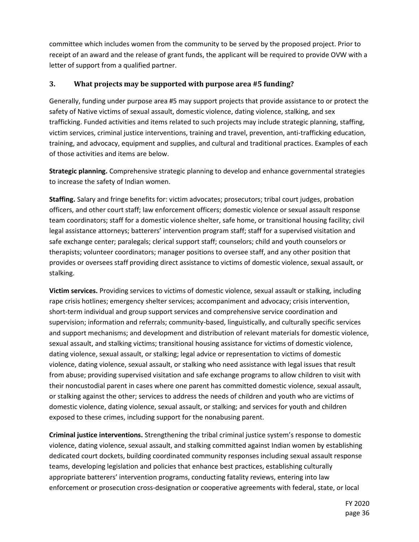committee which includes women from the community to be served by the proposed project. Prior to receipt of an award and the release of grant funds, the applicant will be required to provide OVW with a letter of support from a qualified partner.

#### **3. What projects may be supported with purpose area #5 funding?**

Generally, funding under purpose area #5 may support projects that provide assistance to or protect the safety of Native victims of sexual assault, domestic violence, dating violence, stalking, and sex trafficking. Funded activities and items related to such projects may include strategic planning, staffing, victim services, criminal justice interventions, training and travel, prevention, anti-trafficking education, training, and advocacy, equipment and supplies, and cultural and traditional practices. Examples of each of those activities and items are below.

**Strategic planning.** Comprehensive strategic planning to develop and enhance governmental strategies to increase the safety of Indian women.

**Staffing.** Salary and fringe benefits for: victim advocates; prosecutors; tribal court judges, probation officers, and other court staff; law enforcement officers; domestic violence or sexual assault response team coordinators; staff for a domestic violence shelter, safe home, or transitional housing facility; civil legal assistance attorneys; batterers' intervention program staff; staff for a supervised visitation and safe exchange center; paralegals; clerical support staff; counselors; child and youth counselors or therapists; volunteer coordinators; manager positions to oversee staff, and any other position that provides or oversees staff providing direct assistance to victims of domestic violence, sexual assault, or stalking.

**Victim services.** Providing services to victims of domestic violence, sexual assault or stalking, including rape crisis hotlines; emergency shelter services; accompaniment and advocacy; crisis intervention, short-term individual and group support services and comprehensive service coordination and supervision; information and referrals; community-based, linguistically, and culturally specific services and support mechanisms; and development and distribution of relevant materials for domestic violence, sexual assault, and stalking victims; transitional housing assistance for victims of domestic violence, dating violence, sexual assault, or stalking; legal advice or representation to victims of domestic violence, dating violence, sexual assault, or stalking who need assistance with legal issues that result from abuse; providing supervised visitation and safe exchange programs to allow children to visit with their noncustodial parent in cases where one parent has committed domestic violence, sexual assault, or stalking against the other; services to address the needs of children and youth who are victims of domestic violence, dating violence, sexual assault, or stalking; and services for youth and children exposed to these crimes, including support for the nonabusing parent.

**Criminal justice interventions.** Strengthening the tribal criminal justice system's response to domestic violence, dating violence, sexual assault, and stalking committed against Indian women by establishing dedicated court dockets, building coordinated community responses including sexual assault response teams, developing legislation and policies that enhance best practices, establishing culturally appropriate batterers' intervention programs, conducting fatality reviews, entering into law enforcement or prosecution cross-designation or cooperative agreements with federal, state, or local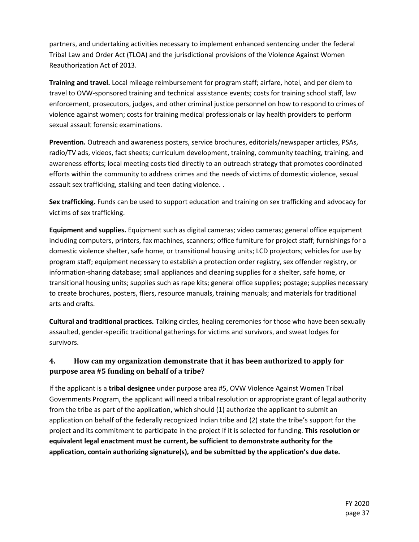partners, and undertaking activities necessary to implement enhanced sentencing under the federal Tribal Law and Order Act (TLOA) and the jurisdictional provisions of the Violence Against Women Reauthorization Act of 2013.

**Training and travel.** Local mileage reimbursement for program staff; airfare, hotel, and per diem to travel to OVW-sponsored training and technical assistance events; costs for training school staff, law enforcement, prosecutors, judges, and other criminal justice personnel on how to respond to crimes of violence against women; costs for training medical professionals or lay health providers to perform sexual assault forensic examinations.

**Prevention.** Outreach and awareness posters, service brochures, editorials/newspaper articles, PSAs, radio/TV ads, videos, fact sheets; curriculum development, training, community teaching, training, and awareness efforts; local meeting costs tied directly to an outreach strategy that promotes coordinated efforts within the community to address crimes and the needs of victims of domestic violence, sexual assault sex trafficking, stalking and teen dating violence. .

**Sex trafficking.** Funds can be used to support education and training on sex trafficking and advocacy for victims of sex trafficking.

**Equipment and supplies.** Equipment such as digital cameras; video cameras; general office equipment including computers, printers, fax machines, scanners; office furniture for project staff; furnishings for a domestic violence shelter, safe home, or transitional housing units; LCD projectors; vehicles for use by program staff; equipment necessary to establish a protection order registry, sex offender registry, or information-sharing database; small appliances and cleaning supplies for a shelter, safe home, or transitional housing units; supplies such as rape kits; general office supplies; postage; supplies necessary to create brochures, posters, fliers, resource manuals, training manuals; and materials for traditional arts and crafts.

**Cultural and traditional practices.** Talking circles, healing ceremonies for those who have been sexually assaulted, gender-specific traditional gatherings for victims and survivors, and sweat lodges for survivors.

#### **4. How can my organization demonstrate that it has been authorized to apply for purpose area #5 funding on behalf of a tribe?**

If the applicant is a **tribal designee** under purpose area #5, OVW Violence Against Women Tribal Governments Program, the applicant will need a tribal resolution or appropriate grant of legal authority from the tribe as part of the application, which should (1) authorize the applicant to submit an application on behalf of the federally recognized Indian tribe and (2) state the tribe's support for the project and its commitment to participate in the project if it is selected for funding. **This resolution or equivalent legal enactment must be current, be sufficient to demonstrate authority for the application, contain authorizing signature(s), and be submitted by the application's due date.**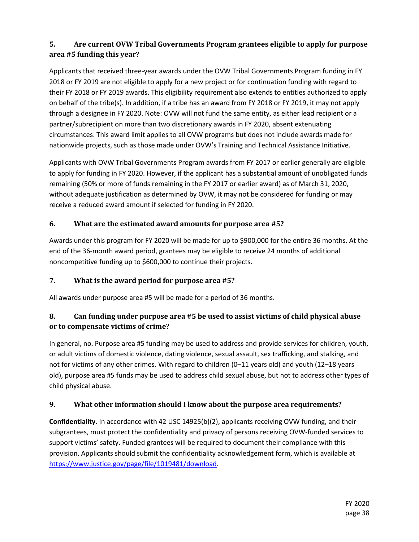### **5. Are current OVW Tribal Governments Program grantees eligible to apply for purpose area #5 funding this year?**

Applicants that received three-year awards under the OVW Tribal Governments Program funding in FY 2018 or FY 2019 are not eligible to apply for a new project or for continuation funding with regard to their FY 2018 or FY 2019 awards. This eligibility requirement also extends to entities authorized to apply on behalf of the tribe(s). In addition, if a tribe has an award from FY 2018 or FY 2019, it may not apply through a designee in FY 2020. Note: OVW will not fund the same entity, as either lead recipient or a partner/subrecipient on more than two discretionary awards in FY 2020, absent extenuating circumstances. This award limit applies to all OVW programs but does not include awards made for nationwide projects, such as those made under OVW's Training and Technical Assistance Initiative.

Applicants with OVW Tribal Governments Program awards from FY 2017 or earlier generally are eligible to apply for funding in FY 2020. However, if the applicant has a substantial amount of unobligated funds remaining (50% or more of funds remaining in the FY 2017 or earlier award) as of March 31, 2020, without adequate justification as determined by OVW, it may not be considered for funding or may receive a reduced award amount if selected for funding in FY 2020.

#### **6. What are the estimated award amounts for purpose area #5?**

Awards under this program for FY 2020 will be made for up to \$900,000 for the entire 36 months. At the end of the 36-month award period, grantees may be eligible to receive 24 months of additional noncompetitive funding up to \$600,000 to continue their projects.

#### **7. What is the award period for purpose area #5?**

All awards under purpose area #5 will be made for a period of 36 months.

### **8. Can funding under purpose area #5 be used to assist victims of child physical abuse or to compensate victims of crime?**

In general, no. Purpose area #5 funding may be used to address and provide services for children, youth, or adult victims of domestic violence, dating violence, sexual assault, sex trafficking, and stalking, and not for victims of any other crimes. With regard to children (0–11 years old) and youth (12–18 years old), purpose area #5 funds may be used to address child sexual abuse, but not to address other types of child physical abuse.

#### **9. What other information should I know about the purpose area requirements?**

**Confidentiality.** In accordance with 42 USC 14925(b)(2), applicants receiving OVW funding, and their subgrantees, must protect the confidentiality and privacy of persons receiving OVW-funded services to support victims' safety. Funded grantees will be required to document their compliance with this provision. Applicants should submit the confidentiality acknowledgement form, which is available at [https://www.justice.gov/page/file/1019481/download.](https://www.justice.gov/page/file/1019481/download)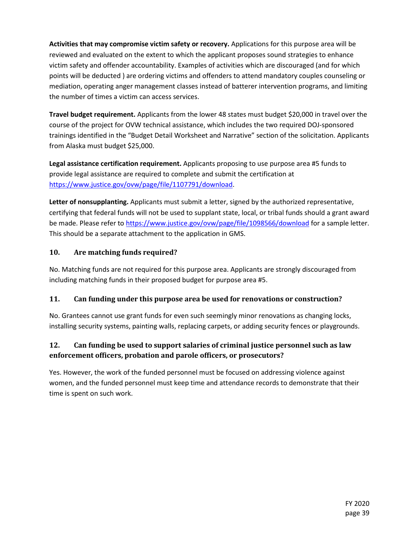**Activities that may compromise victim safety or recovery.** Applications for this purpose area will be reviewed and evaluated on the extent to which the applicant proposes sound strategies to enhance victim safety and offender accountability. Examples of activities which are discouraged (and for which points will be deducted ) are ordering victims and offenders to attend mandatory couples counseling or mediation, operating anger management classes instead of batterer intervention programs, and limiting the number of times a victim can access services.

**Travel budget requirement.** Applicants from the lower 48 states must budget \$20,000 in travel over the course of the project for OVW technical assistance, which includes the two required DOJ-sponsored trainings identified in the "Budget Detail Worksheet and Narrative" section of the solicitation. Applicants from Alaska must budget \$25,000.

**Legal assistance certification requirement.** Applicants proposing to use purpose area #5 funds to provide legal assistance are required to complete and submit the certification at [https://www.justice.gov/ovw/page/file/1107791/download.](https://www.justice.gov/ovw/page/file/1107791/download)

**Letter of nonsupplanting.** Applicants must submit a letter, signed by the authorized representative, certifying that federal funds will not be used to supplant state, local, or tribal funds should a grant award be made. Please refer to<https://www.justice.gov/ovw/page/file/1098566/download> for a sample letter. This should be a separate attachment to the application in GMS.

#### **10. Are matching funds required?**

No. Matching funds are not required for this purpose area. Applicants are strongly discouraged from including matching funds in their proposed budget for purpose area #5.

#### **11. Can funding under this purpose area be used for renovations or construction?**

No. Grantees cannot use grant funds for even such seemingly minor renovations as changing locks, installing security systems, painting walls, replacing carpets, or adding security fences or playgrounds.

#### **12. Can funding be used to support salaries of criminal justice personnel such as law enforcement officers, probation and parole officers, or prosecutors?**

Yes. However, the work of the funded personnel must be focused on addressing violence against women, and the funded personnel must keep time and attendance records to demonstrate that their time is spent on such work.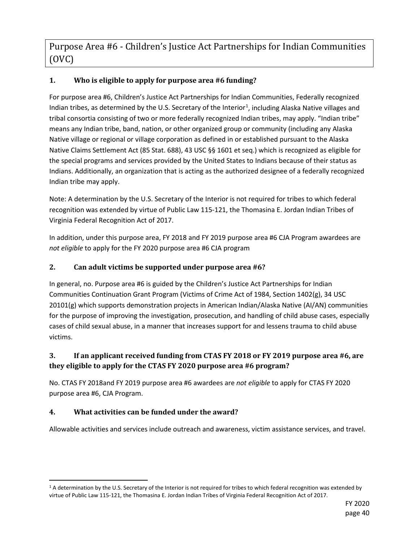Purpose Area #6 - Children's Justice Act Partnerships for Indian Communities (OVC)

#### **1. Who is eligible to apply for purpose area #6 funding?**

For purpose area #6, Children's Justice Act Partnerships for Indian Communities, Federally recognized Indian tribes, as determined by the U.S. Secretary of the Interior<sup>[1](#page-39-0)</sup>, including Alaska Native villages and tribal consortia consisting of two or more federally recognized Indian tribes, may apply. "Indian tribe" means any Indian tribe, band, nation, or other organized group or community (including any Alaska Native village or regional or village corporation as defined in or established pursuant to the Alaska Native Claims Settlement Act (85 Stat. 688), 43 USC §§ 1601 et seq.) which is recognized as eligible for the special programs and services provided by the United States to Indians because of their status as Indians. Additionally, an organization that is acting as the authorized designee of a federally recognized Indian tribe may apply.

Note: A determination by the U.S. Secretary of the Interior is not required for tribes to which federal recognition was extended by virtue of Public Law 115-121, the Thomasina E. Jordan Indian Tribes of Virginia Federal Recognition Act of 2017.

In addition, under this purpose area, FY 2018 and FY 2019 purpose area #6 CJA Program awardees are *not eligible* to apply for the FY 2020 purpose area #6 CJA program

#### **2. Can adult victims be supported under purpose area #6?**

In general, no. Purpose area #6 is guided by the Children's Justice Act Partnerships for Indian Communities Continuation Grant Program (Victims of Crime Act of 1984, Section 1402(g), 34 USC 20101(g) which supports demonstration projects in American Indian/Alaska Native (AI/AN) communities for the purpose of improving the investigation, prosecution, and handling of child abuse cases, especially cases of child sexual abuse, in a manner that increases support for and lessens trauma to child abuse victims.

#### **3. If an applicant received funding from CTAS FY 2018 or FY 2019 purpose area #6, are they eligible to apply for the CTAS FY 2020 purpose area #6 program?**

No. CTAS FY 2018and FY 2019 purpose area #6 awardees are *not eligible* to apply for CTAS FY 2020 purpose area #6, CJA Program.

#### **4. What activities can be funded under the award?**

Allowable activities and services include outreach and awareness, victim assistance services, and travel.

<span id="page-39-0"></span><sup>&</sup>lt;sup>1</sup> A determination by the U.S. Secretary of the Interior is not required for tribes to which federal recognition was extended by virtue of Public Law 115-121, the Thomasina E. Jordan Indian Tribes of Virginia Federal Recognition Act of 2017.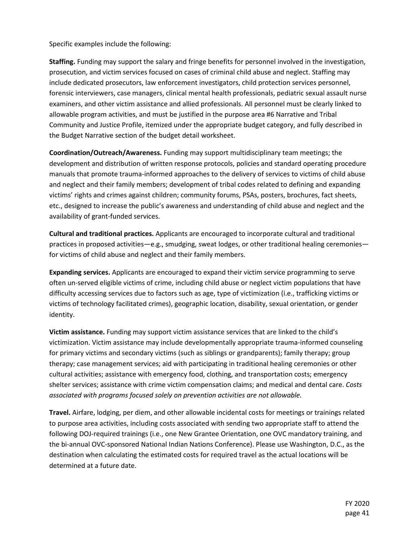Specific examples include the following:

**Staffing.** Funding may support the salary and fringe benefits for personnel involved in the investigation, prosecution, and victim services focused on cases of criminal child abuse and neglect. Staffing may include dedicated prosecutors, law enforcement investigators, child protection services personnel, forensic interviewers, case managers, clinical mental health professionals, pediatric sexual assault nurse examiners, and other victim assistance and allied professionals. All personnel must be clearly linked to allowable program activities, and must be justified in the purpose area #6 Narrative and Tribal Community and Justice Profile, itemized under the appropriate budget category, and fully described in the Budget Narrative section of the budget detail worksheet.

**Coordination/Outreach/Awareness.** Funding may support multidisciplinary team meetings; the development and distribution of written response protocols, policies and standard operating procedure manuals that promote trauma-informed approaches to the delivery of services to victims of child abuse and neglect and their family members; development of tribal codes related to defining and expanding victims' rights and crimes against children; community forums, PSAs, posters, brochures, fact sheets, etc., designed to increase the public's awareness and understanding of child abuse and neglect and the availability of grant-funded services.

**Cultural and traditional practices.** Applicants are encouraged to incorporate cultural and traditional practices in proposed activities—e.g., smudging, sweat lodges, or other traditional healing ceremonies for victims of child abuse and neglect and their family members.

**Expanding services.** Applicants are encouraged to expand their victim service programming to serve often un-served eligible victims of crime, including child abuse or neglect victim populations that have difficulty accessing services due to factors such as age, type of victimization (i.e., trafficking victims or victims of technology facilitated crimes), geographic location, disability, sexual orientation, or gender identity.

**Victim assistance.** Funding may support victim assistance services that are linked to the child's victimization. Victim assistance may include developmentally appropriate trauma-informed counseling for primary victims and secondary victims (such as siblings or grandparents); family therapy; group therapy; case management services; aid with participating in traditional healing ceremonies or other cultural activities; assistance with emergency food, clothing, and transportation costs; emergency shelter services; assistance with crime victim compensation claims; and medical and dental care. *Costs associated with programs focused solely on prevention activities are not allowable.*

**Travel.** Airfare, lodging, per diem, and other allowable incidental costs for meetings or trainings related to purpose area activities, including costs associated with sending two appropriate staff to attend the following DOJ-required trainings (i.e., one New Grantee Orientation, one OVC mandatory training, and the bi-annual OVC-sponsored National Indian Nations Conference). Please use Washington, D.C., as the destination when calculating the estimated costs for required travel as the actual locations will be determined at a future date.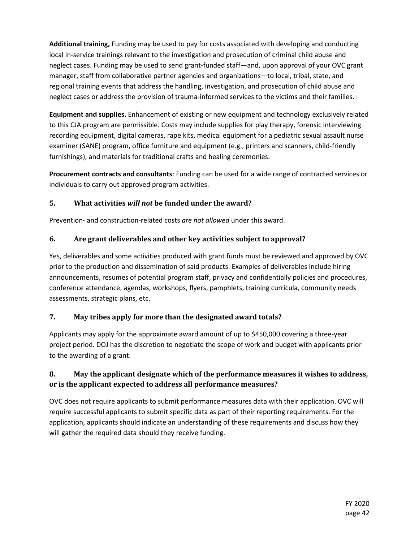**Additional training,** Funding may be used to pay for costs associated with developing and conducting local in-service trainings relevant to the investigation and prosecution of criminal child abuse and neglect cases. Funding may be used to send grant-funded staff—and, upon approval of your OVC grant manager, staff from collaborative partner agencies and organizations—to local, tribal, state, and regional training events that address the handling, investigation, and prosecution of child abuse and neglect cases or address the provision of trauma-informed services to the victims and their families.

**Equipment and supplies.** Enhancement of existing or new equipment and technology exclusively related to this CJA program are permissible. Costs may include supplies for play therapy, forensic interviewing recording equipment, digital cameras, rape kits, medical equipment for a pediatric sexual assault nurse examiner (SANE) program, office furniture and equipment (e.g., printers and scanners, child-friendly furnishings), and materials for traditional crafts and healing ceremonies.

**Procurement contracts and consultants**: Funding can be used for a wide range of contracted services or individuals to carry out approved program activities.

#### **5. What activities** *will not* **be funded under the award?**

Prevention- and construction-related costs *are not allowed* under this award.

#### **6. Are grant deliverables and other key activities subject to approval?**

Yes, deliverables and some activities produced with grant funds must be reviewed and approved by OVC prior to the production and dissemination of said products. Examples of deliverables include hiring announcements, resumes of potential program staff, privacy and confidentially policies and procedures, conference attendance, agendas, workshops, flyers, pamphlets, training curricula, community needs assessments, strategic plans, etc.

#### **7. May tribes apply for more than the designated award totals?**

Applicants may apply for the approximate award amount of up to \$450,000 covering a three-year project period. DOJ has the discretion to negotiate the scope of work and budget with applicants prior to the awarding of a grant.

#### **8. May the applicant designate which of the performance measures it wishes to address, or is the applicant expected to address all performance measures?**

OVC does not require applicants to submit performance measures data with their application. OVC will require successful applicants to submit specific data as part of their reporting requirements. For the application, applicants should indicate an understanding of these requirements and discuss how they will gather the required data should they receive funding.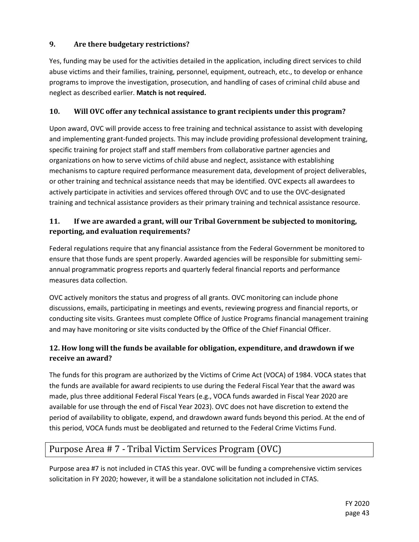#### **9. Are there budgetary restrictions?**

Yes, funding may be used for the activities detailed in the application, including direct services to child abuse victims and their families, training, personnel, equipment, outreach, etc., to develop or enhance programs to improve the investigation, prosecution, and handling of cases of criminal child abuse and neglect as described earlier. **Match is not required.** 

#### **10. Will OVC offer any technical assistance to grant recipients under this program?**

Upon award, OVC will provide access to free training and technical assistance to assist with developing and implementing grant-funded projects. This may include providing professional development training, specific training for project staff and staff members from collaborative partner agencies and organizations on how to serve victims of child abuse and neglect, assistance with establishing mechanisms to capture required performance measurement data, development of project deliverables, or other training and technical assistance needs that may be identified. OVC expects all awardees to actively participate in activities and services offered through OVC and to use the OVC-designated training and technical assistance providers as their primary training and technical assistance resource.

#### **11. If we are awarded a grant, will our Tribal Government be subjected to monitoring, reporting, and evaluation requirements?**

Federal regulations require that any financial assistance from the Federal Government be monitored to ensure that those funds are spent properly. Awarded agencies will be responsible for submitting semiannual programmatic progress reports and quarterly federal financial reports and performance measures data collection.

OVC actively monitors the status and progress of all grants. OVC monitoring can include phone discussions, emails, participating in meetings and events, reviewing progress and financial reports, or conducting site visits. Grantees must complete Office of Justice Programs financial management training and may have monitoring or site visits conducted by the Office of the Chief Financial Officer.

#### **12. How long will the funds be available for obligation, expenditure, and drawdown if we receive an award?**

The funds for this program are authorized by the Victims of Crime Act (VOCA) of 1984. VOCA states that the funds are available for award recipients to use during the Federal Fiscal Year that the award was made, plus three additional Federal Fiscal Years (e.g., VOCA funds awarded in Fiscal Year 2020 are available for use through the end of Fiscal Year 2023). OVC does not have discretion to extend the period of availability to obligate, expend, and drawdown award funds beyond this period. At the end of this period, VOCA funds must be deobligated and returned to the Federal Crime Victims Fund.

### Purpose Area # 7 - Tribal Victim Services Program (OVC)

Purpose area #7 is not included in CTAS this year. OVC will be funding a comprehensive victim services solicitation in FY 2020; however, it will be a standalone solicitation not included in CTAS.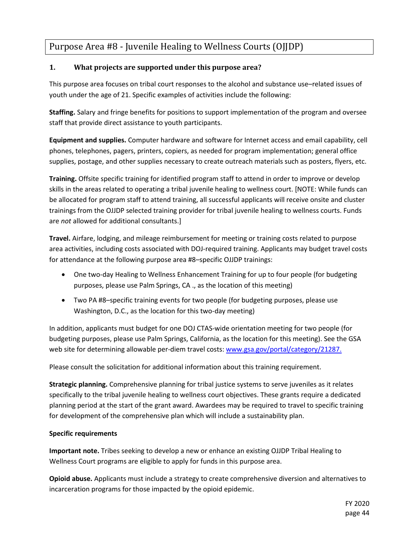### Purpose Area #8 - Juvenile Healing to Wellness Courts (OJJDP)

#### **1. What projects are supported under this purpose area?**

This purpose area focuses on tribal court responses to the alcohol and substance use–related issues of youth under the age of 21. Specific examples of activities include the following:

**Staffing.** Salary and fringe benefits for positions to support implementation of the program and oversee staff that provide direct assistance to youth participants.

**Equipment and supplies.** Computer hardware and software for Internet access and email capability, cell phones, telephones, pagers, printers, copiers, as needed for program implementation; general office supplies, postage, and other supplies necessary to create outreach materials such as posters, flyers, etc.

**Training.** Offsite specific training for identified program staff to attend in order to improve or develop skills in the areas related to operating a tribal juvenile healing to wellness court. [NOTE: While funds can be allocated for program staff to attend training, all successful applicants will receive onsite and cluster trainings from the OJJDP selected training provider for tribal juvenile healing to wellness courts. Funds are *not* allowed for additional consultants.]

**Travel.** Airfare, lodging, and mileage reimbursement for meeting or training costs related to purpose area activities, including costs associated with DOJ-required training. Applicants may budget travel costs for attendance at the following purpose area #8–specific OJJDP trainings:

- One two-day Healing to Wellness Enhancement Training for up to four people (for budgeting purposes, please use Palm Springs, CA ., as the location of this meeting)
- Two PA #8–specific training events for two people (for budgeting purposes, please use Washington, D.C., as the location for this two-day meeting)

In addition, applicants must budget for one DOJ CTAS-wide orientation meeting for two people (for budgeting purposes, please use Palm Springs, California, as the location for this meeting). See the GSA web site for determining allowable per-diem travel costs: [www.gsa.gov/portal/category/21287.](http://www.gsa.gov/portal/category/21287.)

Please consult the solicitation for additional information about this training requirement.

**Strategic planning.** Comprehensive planning for tribal justice systems to serve juveniles as it relates specifically to the tribal juvenile healing to wellness court objectives. These grants require a dedicated planning period at the start of the grant award. Awardees may be required to travel to specific training for development of the comprehensive plan which will include a sustainability plan.

#### **Specific requirements**

**Important note.** Tribes seeking to develop a new or enhance an existing OJJDP Tribal Healing to Wellness Court programs are eligible to apply for funds in this purpose area.

**Opioid abuse.** Applicants must include a strategy to create comprehensive diversion and alternatives to incarceration programs for those impacted by the opioid epidemic.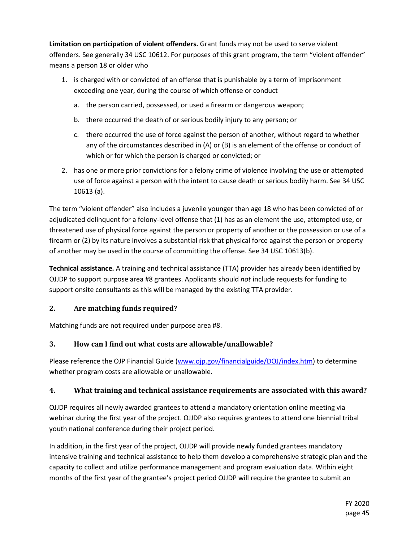**Limitation on participation of violent offenders.** Grant funds may not be used to serve violent offenders. See generally 34 USC 10612. For purposes of this grant program, the term "violent offender" means a person 18 or older who

- 1. is charged with or convicted of an offense that is punishable by a term of imprisonment exceeding one year, during the course of which offense or conduct
	- a. the person carried, possessed, or used a firearm or dangerous weapon;
	- b. there occurred the death of or serious bodily injury to any person; or
	- c. there occurred the use of force against the person of another, without regard to whether any of the circumstances described in (A) or (B) is an element of the offense or conduct of which or for which the person is charged or convicted; or
- 2. has one or more prior convictions for a felony crime of violence involving the use or attempted use of force against a person with the intent to cause death or serious bodily harm. See 34 USC 10613 (a).

The term "violent offender" also includes a juvenile younger than age 18 who has been convicted of or adjudicated delinquent for a felony-level offense that (1) has as an element the use, attempted use, or threatened use of physical force against the person or property of another or the possession or use of a firearm or (2) by its nature involves a substantial risk that physical force against the person or property of another may be used in the course of committing the offense. See 34 USC 10613(b).

**Technical assistance.** A training and technical assistance (TTA) provider has already been identified by OJJDP to support purpose area #8 grantees. Applicants should *not* include requests for funding to support onsite consultants as this will be managed by the existing TTA provider.

### **2. Are matching funds required?**

Matching funds are not required under purpose area #8.

### **3. How can I find out what costs are allowable/unallowable?**

Please reference the OJP Financial Guide [\(www.ojp.gov/financialguide/DOJ/index.htm\)](http://www.ojp.gov/financialguide/DOJ/index.htm) to determine whether program costs are allowable or unallowable.

#### **4. What training and technical assistance requirements are associated with this award?**

OJJDP requires all newly awarded grantees to attend a mandatory orientation online meeting via webinar during the first year of the project. OJJDP also requires grantees to attend one biennial tribal youth national conference during their project period.

In addition, in the first year of the project, OJJDP will provide newly funded grantees mandatory intensive training and technical assistance to help them develop a comprehensive strategic plan and the capacity to collect and utilize performance management and program evaluation data. Within eight months of the first year of the grantee's project period OJJDP will require the grantee to submit an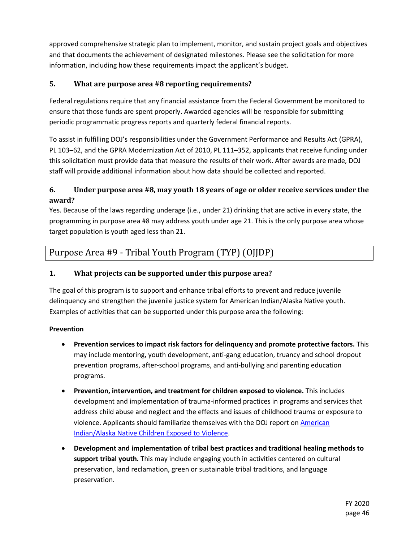approved comprehensive strategic plan to implement, monitor, and sustain project goals and objectives and that documents the achievement of designated milestones. Please see the solicitation for more information, including how these requirements impact the applicant's budget.

#### **5. What are purpose area #8 reporting requirements?**

Federal regulations require that any financial assistance from the Federal Government be monitored to ensure that those funds are spent properly. Awarded agencies will be responsible for submitting periodic programmatic progress reports and quarterly federal financial reports.

To assist in fulfilling DOJ's responsibilities under the Government Performance and Results Act (GPRA), PL 103–62, and the GPRA Modernization Act of 2010, PL 111–352, applicants that receive funding under this solicitation must provide data that measure the results of their work. After awards are made, DOJ staff will provide additional information about how data should be collected and reported.

#### **6. Under purpose area #8, may youth 18 years of age or older receive services under the award?**

Yes. Because of the laws regarding underage (i.e., under 21) drinking that are active in every state, the programming in purpose area #8 may address youth under age 21. This is the only purpose area whose target population is youth aged less than 21.

### Purpose Area #9 - Tribal Youth Program (TYP) (OJJDP)

#### **1. What projects can be supported under this purpose area?**

The goal of this program is to support and enhance tribal efforts to prevent and reduce juvenile delinquency and strengthen the juvenile justice system for American Indian/Alaska Native youth. Examples of activities that can be supported under this purpose area the following:

#### **Prevention**

- **Prevention services to impact risk factors for delinquency and promote protective factors.** This may include mentoring, youth development, anti-gang education, truancy and school dropout prevention programs, after-school programs, and anti-bullying and parenting education programs.
- **Prevention, intervention, and treatment for children exposed to violence.** This includes development and implementation of trauma-informed practices in programs and services that address child abuse and neglect and the effects and issues of childhood trauma or exposure to violence. Applicants should familiarize themselves with the DOJ report on [American](https://www.justice.gov/sites/default/files/defendingchildhood/pages/attachments/2014/11/18/finalaianreport.pdf)  [Indian/Alaska Native Children Exposed to Violence.](https://www.justice.gov/sites/default/files/defendingchildhood/pages/attachments/2014/11/18/finalaianreport.pdf)
- **Development and implementation of tribal best practices and traditional healing methods to support tribal youth.** This may include engaging youth in activities centered on cultural preservation, land reclamation, green or sustainable tribal traditions, and language preservation.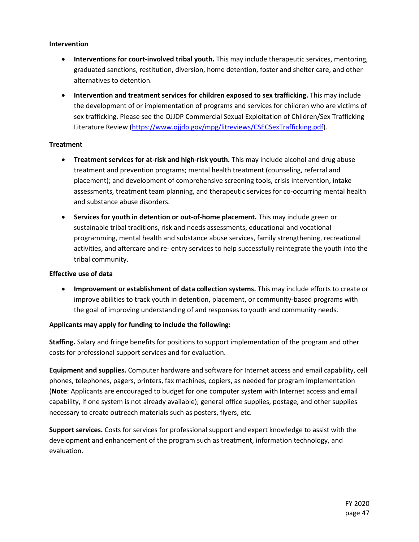#### **Intervention**

- **Interventions for court-involved tribal youth.** This may include therapeutic services, mentoring, graduated sanctions, restitution, diversion, home detention, foster and shelter care, and other alternatives to detention.
- **Intervention and treatment services for children exposed to sex trafficking.** This may include the development of or implementation of programs and services for children who are victims of sex trafficking. Please see the OJJDP Commercial Sexual Exploitation of Children/Sex Trafficking Literature Review [\(https://www.ojjdp.gov/mpg/litreviews/CSECSexTrafficking.pdf\)](https://www.ojjdp.gov/mpg/litreviews/CSECSexTrafficking.pdf).

#### **Treatment**

- **Treatment services for at-risk and high-risk youth.** This may include alcohol and drug abuse treatment and prevention programs; mental health treatment (counseling, referral and placement); and development of comprehensive screening tools, crisis intervention, intake assessments, treatment team planning, and therapeutic services for co-occurring mental health and substance abuse disorders.
- **Services for youth in detention or out-of-home placement.** This may include green or sustainable tribal traditions, risk and needs assessments, educational and vocational programming, mental health and substance abuse services, family strengthening, recreational activities, and aftercare and re- entry services to help successfully reintegrate the youth into the tribal community.

#### **Effective use of data**

• **Improvement or establishment of data collection systems.** This may include efforts to create or improve abilities to track youth in detention, placement, or community-based programs with the goal of improving understanding of and responses to youth and community needs.

#### **Applicants may apply for funding to include the following:**

**Staffing.** Salary and fringe benefits for positions to support implementation of the program and other costs for professional support services and for evaluation.

**Equipment and supplies.** Computer hardware and software for Internet access and email capability, cell phones, telephones, pagers, printers, fax machines, copiers, as needed for program implementation (**Note**: Applicants are encouraged to budget for one computer system with Internet access and email capability, if one system is not already available); general office supplies, postage, and other supplies necessary to create outreach materials such as posters, flyers, etc.

**Support services.** Costs for services for professional support and expert knowledge to assist with the development and enhancement of the program such as treatment, information technology, and evaluation.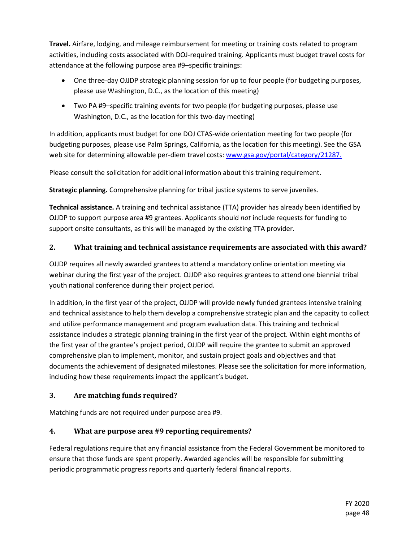**Travel.** Airfare, lodging, and mileage reimbursement for meeting or training costs related to program activities, including costs associated with DOJ-required training. Applicants must budget travel costs for attendance at the following purpose area #9–specific trainings:

- One three-day OJJDP strategic planning session for up to four people (for budgeting purposes, please use Washington, D.C., as the location of this meeting)
- Two PA #9–specific training events for two people (for budgeting purposes, please use Washington, D.C., as the location for this two-day meeting)

In addition, applicants must budget for one DOJ CTAS-wide orientation meeting for two people (for budgeting purposes, please use Palm Springs, California, as the location for this meeting). See the GSA web site for determining allowable per-diem travel costs: [www.gsa.gov/portal/category/21287.](http://www.gsa.gov/portal/category/21287.)

Please consult the solicitation for additional information about this training requirement.

**Strategic planning.** Comprehensive planning for tribal justice systems to serve juveniles.

**Technical assistance.** A training and technical assistance (TTA) provider has already been identified by OJJDP to support purpose area #9 grantees. Applicants should *not* include requests for funding to support onsite consultants, as this will be managed by the existing TTA provider.

#### **2. What training and technical assistance requirements are associated with this award?**

OJJDP requires all newly awarded grantees to attend a mandatory online orientation meeting via webinar during the first year of the project. OJJDP also requires grantees to attend one biennial tribal youth national conference during their project period.

In addition, in the first year of the project, OJJDP will provide newly funded grantees intensive training and technical assistance to help them develop a comprehensive strategic plan and the capacity to collect and utilize performance management and program evaluation data. This training and technical assistance includes a strategic planning training in the first year of the project. Within eight months of the first year of the grantee's project period, OJJDP will require the grantee to submit an approved comprehensive plan to implement, monitor, and sustain project goals and objectives and that documents the achievement of designated milestones. Please see the solicitation for more information, including how these requirements impact the applicant's budget.

#### **3. Are matching funds required?**

Matching funds are not required under purpose area #9.

#### **4. What are purpose area #9 reporting requirements?**

Federal regulations require that any financial assistance from the Federal Government be monitored to ensure that those funds are spent properly. Awarded agencies will be responsible for submitting periodic programmatic progress reports and quarterly federal financial reports.